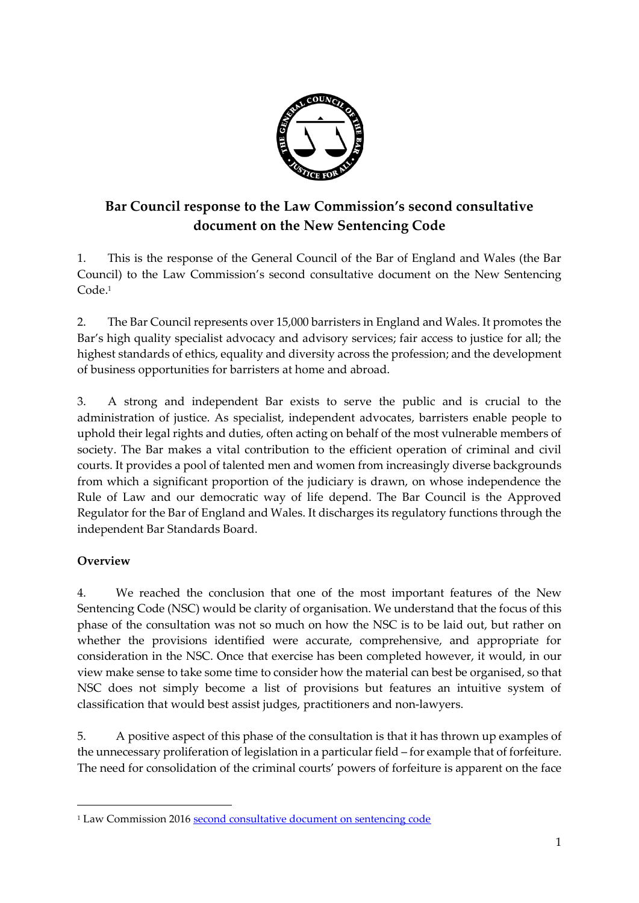

# **Bar Council response to the Law Commission's second consultative document on the New Sentencing Code**

1. This is the response of the General Council of the Bar of England and Wales (the Bar Council) to the Law Commission's second consultative document on the New Sentencing Code. 1

2. The Bar Council represents over 15,000 barristers in England and Wales. It promotes the Bar's high quality specialist advocacy and advisory services; fair access to justice for all; the highest standards of ethics, equality and diversity across the profession; and the development of business opportunities for barristers at home and abroad.

3. A strong and independent Bar exists to serve the public and is crucial to the administration of justice. As specialist, independent advocates, barristers enable people to uphold their legal rights and duties, often acting on behalf of the most vulnerable members of society. The Bar makes a vital contribution to the efficient operation of criminal and civil courts. It provides a pool of talented men and women from increasingly diverse backgrounds from which a significant proportion of the judiciary is drawn, on whose independence the Rule of Law and our democratic way of life depend. The Bar Council is the Approved Regulator for the Bar of England and Wales. It discharges its regulatory functions through the independent Bar Standards Board.

# **Overview**

-

4. We reached the conclusion that one of the most important features of the New Sentencing Code (NSC) would be clarity of organisation. We understand that the focus of this phase of the consultation was not so much on how the NSC is to be laid out, but rather on whether the provisions identified were accurate, comprehensive, and appropriate for consideration in the NSC. Once that exercise has been completed however, it would, in our view make sense to take some time to consider how the material can best be organised, so that NSC does not simply become a list of provisions but features an intuitive system of classification that would best assist judges, practitioners and non-lawyers.

5. A positive aspect of this phase of the consultation is that it has thrown up examples of the unnecessary proliferation of legislation in a particular field – for example that of forfeiture. The need for consolidation of the criminal courts' powers of forfeiture is apparent on the face

<sup>1</sup> Law Commission 2016 [second consultative document on sentencing code](http://www.lawcom.gov.uk/project/sentencing-code/#sentencing-law-in-england-and-wales-consultative-document)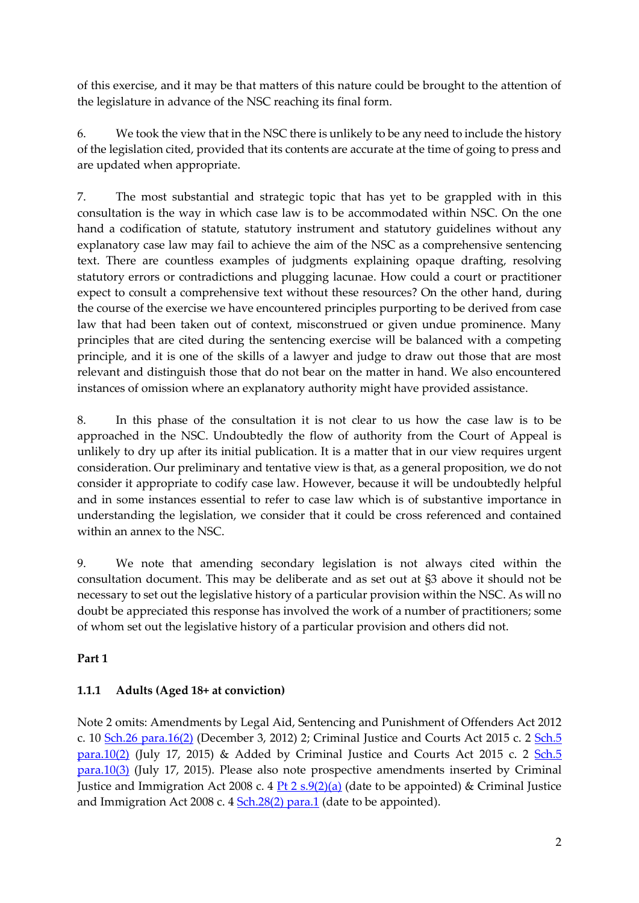of this exercise, and it may be that matters of this nature could be brought to the attention of the legislature in advance of the NSC reaching its final form.

6. We took the view that in the NSC there is unlikely to be any need to include the history of the legislation cited, provided that its contents are accurate at the time of going to press and are updated when appropriate.

7. The most substantial and strategic topic that has yet to be grappled with in this consultation is the way in which case law is to be accommodated within NSC. On the one hand a codification of statute, statutory instrument and statutory guidelines without any explanatory case law may fail to achieve the aim of the NSC as a comprehensive sentencing text. There are countless examples of judgments explaining opaque drafting, resolving statutory errors or contradictions and plugging lacunae. How could a court or practitioner expect to consult a comprehensive text without these resources? On the other hand, during the course of the exercise we have encountered principles purporting to be derived from case law that had been taken out of context, misconstrued or given undue prominence. Many principles that are cited during the sentencing exercise will be balanced with a competing principle, and it is one of the skills of a lawyer and judge to draw out those that are most relevant and distinguish those that do not bear on the matter in hand. We also encountered instances of omission where an explanatory authority might have provided assistance.

8. In this phase of the consultation it is not clear to us how the case law is to be approached in the NSC. Undoubtedly the flow of authority from the Court of Appeal is unlikely to dry up after its initial publication. It is a matter that in our view requires urgent consideration. Our preliminary and tentative view is that, as a general proposition, we do not consider it appropriate to codify case law. However, because it will be undoubtedly helpful and in some instances essential to refer to case law which is of substantive importance in understanding the legislation, we consider that it could be cross referenced and contained within an annex to the NSC.

9. We note that amending secondary legislation is not always cited within the consultation document. This may be deliberate and as set out at §3 above it should not be necessary to set out the legislative history of a particular provision within the NSC. As will no doubt be appreciated this response has involved the work of a number of practitioners; some of whom set out the legislative history of a particular provision and others did not.

## **Part 1**

## **1.1.1 Adults (Aged 18+ at conviction)**

Note 2 omits: Amendments by Legal Aid, Sentencing and Punishment of Offenders Act 2012 c. 10 [Sch.26 para.16\(2\)](http://login.westlaw.co.uk/maf/pcrm/app/document?src=doc&linktype=ref&context=21&crumb-action=replace&docguid=I136CC91196E111E1878AE35B0E9A2895) (December 3, 2012) 2; Criminal Justice and Courts Act 2015 c. 2 [Sch.5](http://login.westlaw.co.uk/maf/pcrm/app/document?src=doc&linktype=ref&context=21&crumb-action=replace&docguid=I969A76C1B51A11E49F3AEE625E9B8E56)   $para.10(2)$  (July 17, 2015) & Added by Criminal Justice and Courts Act 2015 c. 2  $Sch.5$ [para.10\(3\)](http://login.westlaw.co.uk/maf/pcrm/app/document?src=doc&linktype=ref&context=21&crumb-action=replace&docguid=I969A76C1B51A11E49F3AEE625E9B8E56) (July 17, 2015). Please also note prospective amendments inserted by Criminal Justice and Immigration Act 2008 c. 4  $\frac{Pt \, 2 \, s \cdot 9(2)(a)}{a}$  (date to be appointed) & Criminal Justice and Immigration Act 2008 c. 4 [Sch.28\(2\) para.1](http://login.westlaw.co.uk/maf/pcrm/app/document?src=doc&linktype=ref&context=25&crumb-action=replace&docguid=I1F5C3F41261911DDA4CACD152F86E460) (date to be appointed).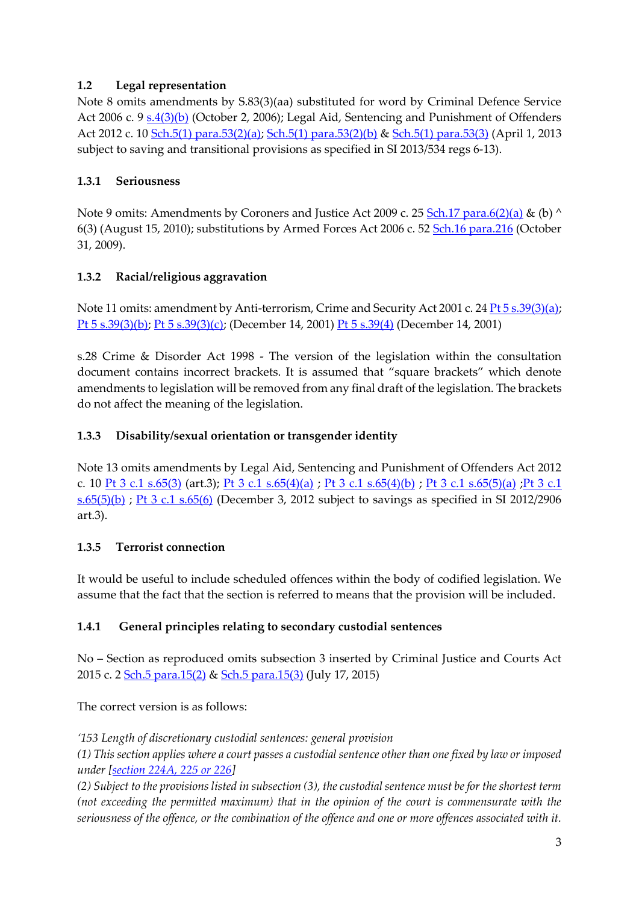## **1.2 Legal representation**

Note 8 omits amendments by S.83(3)(aa) substituted for word by Criminal Defence Service Act 2006 c. 9 [s.4\(3\)\(b\)](http://login.westlaw.co.uk/maf/pcrm/app/document?src=doc&linktype=ref&context=134&crumb-action=replace&docguid=IEDB63310E44811DA8D70A0E70A78ED65) (October 2, 2006); Legal Aid, Sentencing and Punishment of Offenders Act 2012 c. 10 [Sch.5\(1\) para.53\(2\)\(a\); Sch.5\(1\) para.53\(2\)\(b\)](http://login.westlaw.co.uk/maf/pcrm/app/document?src=doc&linktype=ref&context=134&crumb-action=replace&docguid=I12F5EB6096E111E1878AE35B0E9A2895) [& Sch.5\(1\) para.53\(3\)](http://login.westlaw.co.uk/maf/pcrm/app/document?src=doc&linktype=ref&context=134&crumb-action=replace&docguid=I12F5EB6096E111E1878AE35B0E9A2895) (April 1, 2013 subject to saving and transitional provisions as specified in SI 2013/534 regs 6-13).

### **1.3.1 Seriousness**

Note 9 omits: Amendments by Coroners and Justice Act 2009 c. 25 [Sch.17 para.6\(2\)\(a\)](http://login.westlaw.co.uk/maf/pcrm/app/document?src=doc&linktype=ref&context=152&crumb-action=replace&docguid=IF065E580DA4211DE9AD491096115908F) & (b) ^ 6(3) (August 15, 2010); substitutions by Armed Forces Act 2006 c. 52 [Sch.16 para.216](http://login.westlaw.co.uk/maf/pcrm/app/document?src=doc&linktype=ref&context=152&crumb-action=replace&docguid=I040327B17D2111DB9833E1CC4921FF0C) (October 31, 2009).

## **1.3.2 Racial/religious aggravation**

Note 11 omits: amendment by Anti-terrorism, Crime and Security Act 2001 c. 24  $Pt5 s.39(3)(a)$ ; [Pt 5 s.39\(3\)\(b\); Pt 5 s.39\(3\)\(c\);](http://login.westlaw.co.uk/maf/pcrm/app/document?src=doc&linktype=ref&context=184&crumb-action=replace&docguid=I74AB57F1E44A11DA8D70A0E70A78ED65) (December 14, 2001) [Pt 5 s.39\(4\)](http://login.westlaw.co.uk/maf/pcrm/app/document?src=doc&linktype=ref&context=184&crumb-action=replace&docguid=I74AB57F1E44A11DA8D70A0E70A78ED65) (December 14, 2001)

s.28 Crime & Disorder Act 1998 - The version of the legislation within the consultation document contains incorrect brackets. It is assumed that "square brackets" which denote amendments to legislation will be removed from any final draft of the legislation. The brackets do not affect the meaning of the legislation.

## **1.3.3 Disability/sexual orientation or transgender identity**

Note 13 omits amendments by Legal Aid, Sentencing and Punishment of Offenders Act 2012 c. 10 [Pt 3 c.1 s.65\(3\)](http://login.westlaw.co.uk/maf/pcrm/app/document?src=doc&linktype=ref&context=205&crumb-action=replace&docguid=I12A5F6A196E111E1878AE35B0E9A2895) (art.3); [Pt 3 c.1 s.65\(4\)\(a\)](http://login.westlaw.co.uk/maf/pcrm/app/document?src=doc&linktype=ref&context=205&crumb-action=replace&docguid=I12A5F6A196E111E1878AE35B0E9A2895) ; [Pt 3 c.1 s.65\(4\)\(b\)](http://login.westlaw.co.uk/maf/pcrm/app/document?src=doc&linktype=ref&context=205&crumb-action=replace&docguid=I12A5F6A196E111E1878AE35B0E9A2895) ; [Pt 3 c.1 s.65\(5\)\(a\)](http://login.westlaw.co.uk/maf/pcrm/app/document?src=doc&linktype=ref&context=205&crumb-action=replace&docguid=I12A5F6A196E111E1878AE35B0E9A2895) ; Pt 3 c.1  $s.65(5)(b)$ ; [Pt 3 c.1 s.65\(6\)](http://login.westlaw.co.uk/maf/pcrm/app/document?src=doc&linktype=ref&context=205&crumb-action=replace&docguid=I12A5F6A196E111E1878AE35B0E9A2895) (December 3, 2012 subject to savings as specified in SI 2012/2906 art.3).

### **1.3.5 Terrorist connection**

It would be useful to include scheduled offences within the body of codified legislation. We assume that the fact that the section is referred to means that the provision will be included.

## **1.4.1 General principles relating to secondary custodial sentences**

No – Section as reproduced omits subsection 3 inserted by Criminal Justice and Courts Act 2015 c. 2 [Sch.5 para.15\(2\)](http://login.westlaw.co.uk/maf/pcrm/app/document?src=doc&linktype=ref&context=279&crumb-action=replace&docguid=I969B8831B51A11E49F3AEE625E9B8E56) & [Sch.5 para.15\(3\)](http://login.westlaw.co.uk/maf/pcrm/app/document?src=doc&linktype=ref&context=279&crumb-action=replace&docguid=I969B8831B51A11E49F3AEE625E9B8E56) (July 17, 2015)

The correct version is as follows:

*'153 Length of discretionary custodial sentences: general provision*

*(1) This section applies where a court passes a custodial sentence other than one fixed by law or imposed under [\[section 224A, 225 or 226\]](http://login.westlaw.co.uk/maf/pcrm/app/document?src=doc&linktype=ref&context=279&crumb-action=replace&docguid=I3775FA20A72611E18B2781FDC2DED68F)* 

*(2) Subject to the provisions listed in subsection (3), the custodial sentence must be for the shortest term (not exceeding the permitted maximum) that in the opinion of the court is commensurate with the seriousness of the offence, or the combination of the offence and one or more offences associated with it.*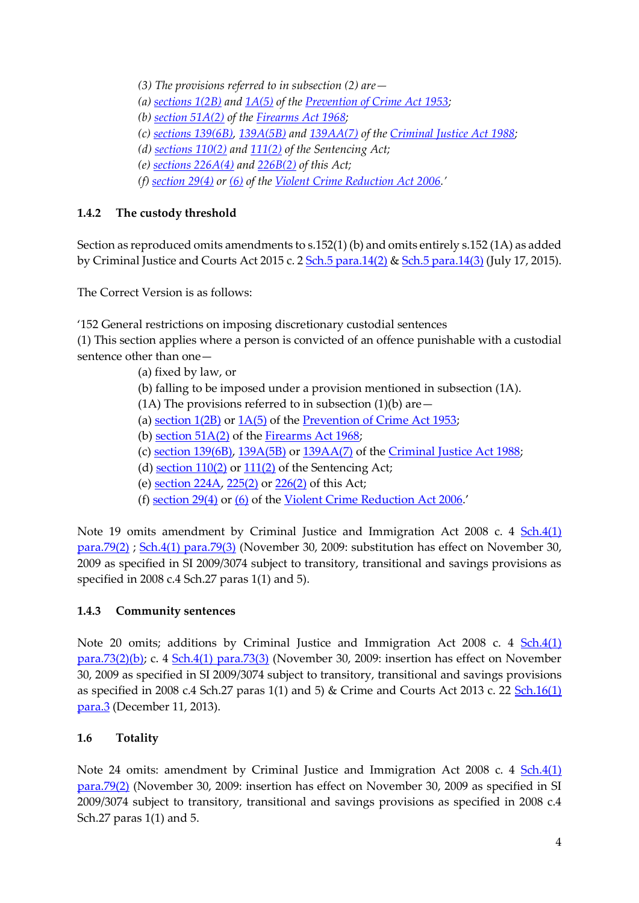*(3) The provisions referred to in subsection (2) are—*

- *(a) [sections 1\(2B\)](http://login.westlaw.co.uk/maf/pcrm/app/document?src=doc&linktype=ref&context=279&crumb-action=replace&docguid=I66F261F1E44811DA8D70A0E70A78ED65) and [1A\(5\)](http://login.westlaw.co.uk/maf/pcrm/app/document?src=doc&linktype=ref&context=279&crumb-action=replace&docguid=I37962C50A72611E18B2781FDC2DED68F) of the [Prevention of Crime Act 1953;](http://login.westlaw.co.uk/maf/pcrm/app/document?src=doc&linktype=ref&context=279&crumb-action=replace&docguid=I609E0D10E42311DAA7CF8F68F6EE57AB)*
- *(b) [section 51A\(2\)](http://login.westlaw.co.uk/maf/pcrm/app/document?src=doc&linktype=ref&context=279&crumb-action=replace&docguid=ID713D3B0E44811DA8D70A0E70A78ED65) of the [Firearms Act 1968;](http://login.westlaw.co.uk/maf/pcrm/app/document?src=doc&linktype=ref&context=279&crumb-action=replace&docguid=I606D6020E42311DAA7CF8F68F6EE57AB)*
- *(c) [sections 139\(6B\),](http://login.westlaw.co.uk/maf/pcrm/app/document?src=doc&linktype=ref&context=279&crumb-action=replace&docguid=I5C9771C1E44B11DA8D70A0E70A78ED65) [139A\(5B\)](http://login.westlaw.co.uk/maf/pcrm/app/document?src=doc&linktype=ref&context=279&crumb-action=replace&docguid=I5C983511E44B11DA8D70A0E70A78ED65) an[d 139AA\(7\)](http://login.westlaw.co.uk/maf/pcrm/app/document?src=doc&linktype=ref&context=279&crumb-action=replace&docguid=I37962C51A72611E18B2781FDC2DED68F) of the [Criminal Justice Act 1988;](http://login.westlaw.co.uk/maf/pcrm/app/document?src=doc&linktype=ref&context=279&crumb-action=replace&docguid=I5FF71EB0E42311DAA7CF8F68F6EE57AB)*
- *(d) [sections 110\(2\)](http://login.westlaw.co.uk/maf/pcrm/app/document?src=doc&linktype=ref&context=279&crumb-action=replace&docguid=I7C999440E44F11DA8D70A0E70A78ED65) and [111\(2\)](http://login.westlaw.co.uk/maf/pcrm/app/document?src=doc&linktype=ref&context=279&crumb-action=replace&docguid=I9F14A2D0E44F11DA8D70A0E70A78ED65) of the Sentencing Act;*
- *(e) [sections 226A\(4\)](http://login.westlaw.co.uk/maf/pcrm/app/document?src=doc&linktype=ref&context=279&crumb-action=replace&docguid=I377006B0A72611E18B2781FDC2DED68F) and [226B\(2\)](http://login.westlaw.co.uk/maf/pcrm/app/document?src=doc&linktype=ref&context=279&crumb-action=replace&docguid=I3772C5D0A72611E18B2781FDC2DED68F) of this Act;*
- *(f) [section 29\(4\)](http://login.westlaw.co.uk/maf/pcrm/app/document?src=doc&linktype=ref&context=279&crumb-action=replace&docguid=I7366BB60754411DB8071C6D7F7AFDBBF) or [\(6\)](http://login.westlaw.co.uk/maf/pcrm/app/document?src=doc&linktype=ref&context=279&crumb-action=replace&docguid=I7366BB60754411DB8071C6D7F7AFDBBF) of the [Violent Crime Reduction Act 2006](http://login.westlaw.co.uk/maf/pcrm/app/document?src=doc&linktype=ref&context=279&crumb-action=replace&docguid=IDA0742B0751A11DBB6BD9A07698D500F).'*

## **1.4.2 The custody threshold**

Section as reproduced omits amendments to s.152(1) (b) and omits entirely s.152 (1A) as added by Criminal Justice and Courts Act 2015 c. 2 [Sch.5 para.14\(2\)](http://login.westlaw.co.uk/maf/pcrm/app/document?src=doc&linktype=ref&context=295&crumb-action=replace&docguid=I969B6120B51A11E49F3AEE625E9B8E56) [& Sch.5 para.14\(3\)](http://login.westlaw.co.uk/maf/pcrm/app/document?src=doc&linktype=ref&context=295&crumb-action=replace&docguid=I969B6120B51A11E49F3AEE625E9B8E56) (July 17, 2015).

The Correct Version is as follows:

'152 General restrictions on imposing discretionary custodial sentences

(1) This section applies where a person is convicted of an offence punishable with a custodial sentence other than one—

- (a) fixed by law, or
- (b) falling to be imposed under a provision mentioned in subsection (1A).
- (1A) The provisions referred to in subsection  $(1)(b)$  are  $-$
- (a) [section 1\(2B\)](http://login.westlaw.co.uk/maf/pcrm/app/document?src=doc&linktype=ref&context=295&crumb-action=replace&docguid=I66F261F1E44811DA8D70A0E70A78ED65) or [1A\(5\)](http://login.westlaw.co.uk/maf/pcrm/app/document?src=doc&linktype=ref&context=295&crumb-action=replace&docguid=I37962C50A72611E18B2781FDC2DED68F) of the [Prevention of Crime Act 1953;](http://login.westlaw.co.uk/maf/pcrm/app/document?src=doc&linktype=ref&context=295&crumb-action=replace&docguid=I609E0D10E42311DAA7CF8F68F6EE57AB)
- (b) section  $51A(2)$  of the [Firearms Act 1968;](http://login.westlaw.co.uk/maf/pcrm/app/document?src=doc&linktype=ref&context=295&crumb-action=replace&docguid=I606D6020E42311DAA7CF8F68F6EE57AB)
- (c) [section 139\(6B\),](http://login.westlaw.co.uk/maf/pcrm/app/document?src=doc&linktype=ref&context=295&crumb-action=replace&docguid=I5C9771C1E44B11DA8D70A0E70A78ED65) [139A\(5B\)](http://login.westlaw.co.uk/maf/pcrm/app/document?src=doc&linktype=ref&context=295&crumb-action=replace&docguid=I5C983511E44B11DA8D70A0E70A78ED65) or [139AA\(7\)](http://login.westlaw.co.uk/maf/pcrm/app/document?src=doc&linktype=ref&context=295&crumb-action=replace&docguid=I37962C51A72611E18B2781FDC2DED68F) of the [Criminal Justice Act 1988;](http://login.westlaw.co.uk/maf/pcrm/app/document?src=doc&linktype=ref&context=295&crumb-action=replace&docguid=I5FF71EB0E42311DAA7CF8F68F6EE57AB)
- (d) section  $110(2)$  or  $111(2)$  of the Sentencing Act;
- (e) [section 224A,](http://login.westlaw.co.uk/maf/pcrm/app/document?src=doc&linktype=ref&context=295&crumb-action=replace&docguid=I3775FA20A72611E18B2781FDC2DED68F) [225\(2\)](http://login.westlaw.co.uk/maf/pcrm/app/document?src=doc&linktype=ref&context=295&crumb-action=replace&docguid=IA4B41390B05111E1993DA5AD8657962A) or [226\(2\)](http://login.westlaw.co.uk/maf/pcrm/app/document?src=doc&linktype=ref&context=295&crumb-action=replace&docguid=IBB328010B12911E1AE35EF5E72C57E90) of this Act;
- (f) [section 29\(4\)](http://login.westlaw.co.uk/maf/pcrm/app/document?src=doc&linktype=ref&context=295&crumb-action=replace&docguid=I7366BB60754411DB8071C6D7F7AFDBBF) or [\(6\)](http://login.westlaw.co.uk/maf/pcrm/app/document?src=doc&linktype=ref&context=295&crumb-action=replace&docguid=I7366BB60754411DB8071C6D7F7AFDBBF) of the [Violent Crime Reduction Act 2006](http://login.westlaw.co.uk/maf/pcrm/app/document?src=doc&linktype=ref&context=295&crumb-action=replace&docguid=IDA0742B0751A11DBB6BD9A07698D500F).'

Note 19 omits amendment by Criminal Justice and Immigration Act 2008 c. 4 Sch.4(1) [para.79\(2\)](http://login.westlaw.co.uk/maf/pcrm/app/document?src=doc&linktype=ref&context=301&crumb-action=replace&docguid=I874DF580262D11DDA4CACD152F86E460) ; [Sch.4\(1\) para.79\(3\)](http://login.westlaw.co.uk/maf/pcrm/app/document?src=doc&linktype=ref&context=301&crumb-action=replace&docguid=I874DF580262D11DDA4CACD152F86E460) (November 30, 2009: substitution has effect on November 30, 2009 as specified in SI 2009/3074 subject to transitory, transitional and savings provisions as specified in 2008 c.4 Sch.27 paras 1(1) and 5).

## **1.4.3 Community sentences**

Note 20 omits; additions by Criminal Justice and Immigration Act 2008 c. 4 [Sch.4\(1\)](http://login.westlaw.co.uk/maf/pcrm/app/document?src=doc&linktype=ref&context=305&crumb-action=replace&docguid=I87485030262D11DDA4CACD152F86E460)  [para.73\(2\)\(b\);](http://login.westlaw.co.uk/maf/pcrm/app/document?src=doc&linktype=ref&context=305&crumb-action=replace&docguid=I87485030262D11DDA4CACD152F86E460) c. 4 [Sch.4\(1\) para.73\(3\)](http://login.westlaw.co.uk/maf/pcrm/app/document?src=doc&linktype=ref&context=305&crumb-action=replace&docguid=I87485030262D11DDA4CACD152F86E460) (November 30, 2009: insertion has effect on November 30, 2009 as specified in SI 2009/3074 subject to transitory, transitional and savings provisions as specified in 2008 c.4 Sch.27 paras 1(1) and 5) & Crime and Courts Act 2013 c. 22  $Sch.16(1)$ [para.3](http://login.westlaw.co.uk/maf/pcrm/app/document?src=doc&linktype=ref&context=305&crumb-action=replace&docguid=I508477C1B0A411E2B7A0E11E7EB499C3) (December 11, 2013).

## **1.6 Totality**

Note 24 omits: amendment by Criminal Justice and Immigration Act 2008 c. 4 [Sch.4\(1\)](http://login.westlaw.co.uk/maf/pcrm/app/document?src=doc&linktype=ref&context=317&crumb-action=replace&docguid=I874DF580262D11DDA4CACD152F86E460)  [para.79\(2\)](http://login.westlaw.co.uk/maf/pcrm/app/document?src=doc&linktype=ref&context=317&crumb-action=replace&docguid=I874DF580262D11DDA4CACD152F86E460) (November 30, 2009: insertion has effect on November 30, 2009 as specified in SI 2009/3074 subject to transitory, transitional and savings provisions as specified in 2008 c.4 Sch.27 paras 1(1) and 5.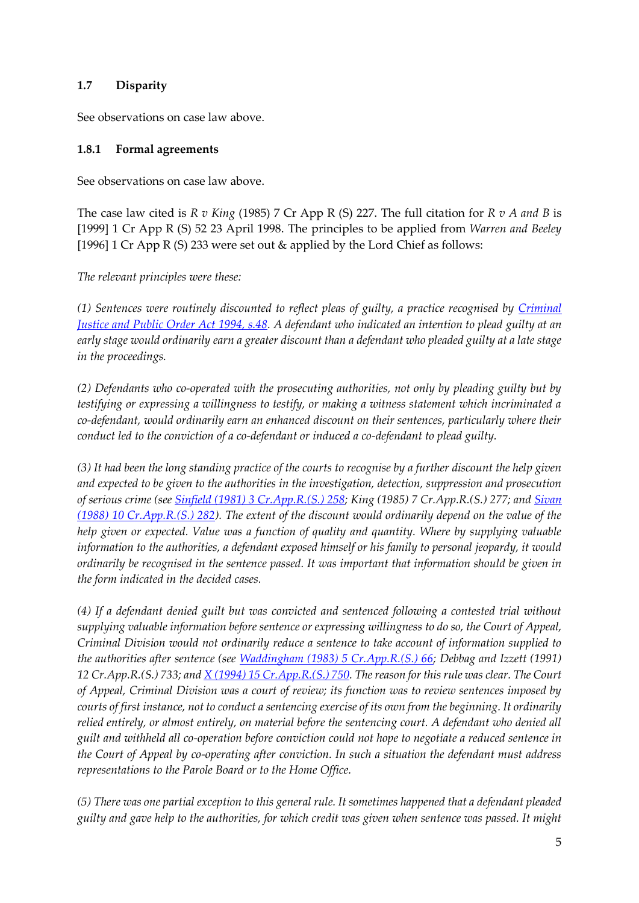### **1.7 Disparity**

See observations on case law above.

### **1.8.1 Formal agreements**

See observations on case law above.

The case law cited is *R v King* (1985) 7 Cr App R (S) 227. The full citation for *R v A and B* is [1999] 1 Cr App R (S) 52 23 April 1998. The principles to be applied from *Warren and Beeley* [1996] 1 Cr App R (S) 233 were set out & applied by the Lord Chief as follows:

*The relevant principles were these:*

*(1) Sentences were routinely discounted to reflect pleas of guilty, a practice recognised by [Criminal](http://login.westlaw.co.uk/maf/pcrm/app/document?src=doc&linktype=ref&context=411&crumb-action=replace&docguid=IF7265470E44D11DA8D70A0E70A78ED65)  [Justice and Public Order Act 1994, s.48.](http://login.westlaw.co.uk/maf/pcrm/app/document?src=doc&linktype=ref&context=411&crumb-action=replace&docguid=IF7265470E44D11DA8D70A0E70A78ED65) A defendant who indicated an intention to plead guilty at an early stage would ordinarily earn a greater discount than a defendant who pleaded guilty at a late stage in the proceedings.*

*(2) Defendants who co-operated with the prosecuting authorities, not only by pleading guilty but by testifying or expressing a willingness to testify, or making a witness statement which incriminated a co-defendant, would ordinarily earn an enhanced discount on their sentences, particularly where their conduct led to the conviction of a co-defendant or induced a co-defendant to plead guilty.*

*(3) It had been the long standing practice of the courts to recognise by a further discount the help given and expected to be given to the authorities in the investigation, detection, suppression and prosecution of serious crime (see [Sinfield \(1981\) 3 Cr.App.R.\(S.\) 258;](http://login.westlaw.co.uk/maf/pcrm/app/document?src=doc&linktype=ref&context=411&crumb-action=replace&docguid=I69D17390E42811DA8FC2A0F0355337E9) King (1985) 7 Cr.App.R.(S.) 277; an[d Sivan](http://login.westlaw.co.uk/maf/pcrm/app/document?src=doc&linktype=ref&context=411&crumb-action=replace&docguid=I69E45F50E42811DA8FC2A0F0355337E9)  [\(1988\) 10 Cr.App.R.\(S.\) 282\)](http://login.westlaw.co.uk/maf/pcrm/app/document?src=doc&linktype=ref&context=411&crumb-action=replace&docguid=I69E45F50E42811DA8FC2A0F0355337E9). The extent of the discount would ordinarily depend on the value of the help given or expected. Value was a function of quality and quantity. Where by supplying valuable information to the authorities, a defendant exposed himself or his family to personal jeopardy, it would ordinarily be recognised in the sentence passed. It was important that information should be given in the form indicated in the decided cases.*

*(4) If a defendant denied guilt but was convicted and sentenced following a contested trial without supplying valuable information before sentence or expressing willingness to do so, the Court of Appeal, Criminal Division would not ordinarily reduce a sentence to take account of information supplied to the authorities after sentence (see [Waddingham \(1983\) 5 Cr.App.R.\(S.\) 66;](http://login.westlaw.co.uk/maf/pcrm/app/document?src=doc&linktype=ref&context=411&crumb-action=replace&docguid=I6F07AE10E42811DA8FC2A0F0355337E9) Debbag and Izzett (1991) 12 Cr.App.R.(S.) 733; and [X \(1994\) 15 Cr.App.R.\(S.\) 750.](http://login.westlaw.co.uk/maf/pcrm/app/document?src=doc&linktype=ref&context=411&crumb-action=replace&docguid=I74904E50E42811DA8FC2A0F0355337E9) The reason for this rule was clear. The Court of Appeal, Criminal Division was a court of review; its function was to review sentences imposed by courts of first instance, not to conduct a sentencing exercise of its own from the beginning. It ordinarily relied entirely, or almost entirely, on material before the sentencing court. A defendant who denied all guilt and withheld all co-operation before conviction could not hope to negotiate a reduced sentence in the Court of Appeal by co-operating after conviction. In such a situation the defendant must address representations to the Parole Board or to the Home Office.*

*(5) There was one partial exception to this general rule. It sometimes happened that a defendant pleaded guilty and gave help to the authorities, for which credit was given when sentence was passed. It might*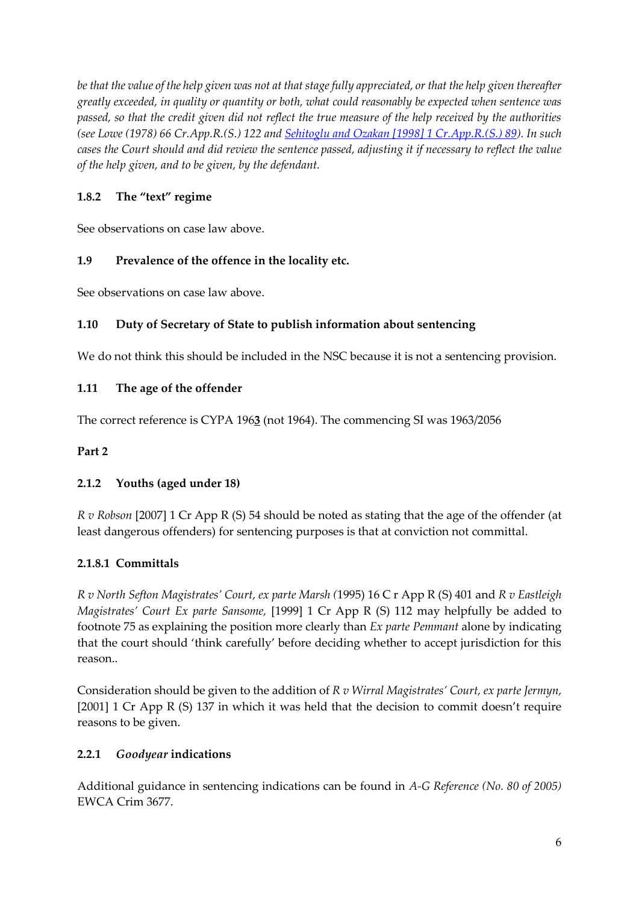*be that the value of the help given was not at that stage fully appreciated, or that the help given thereafter greatly exceeded, in quality or quantity or both, what could reasonably be expected when sentence was passed, so that the credit given did not reflect the true measure of the help received by the authorities (see Lowe (1978) 66 Cr.App.R.(S.) 122 and [Sehitoglu and Ozakan \[1998\] 1 Cr.App.R.\(S.\) 89\)](http://login.westlaw.co.uk/maf/pcrm/app/document?src=doc&linktype=ref&context=411&crumb-action=replace&docguid=I695083C1E42811DA8FC2A0F0355337E9). In such cases the Court should and did review the sentence passed, adjusting it if necessary to reflect the value of the help given, and to be given, by the defendant.*

### **1.8.2 The "text" regime**

See observations on case law above.

### **1.9 Prevalence of the offence in the locality etc.**

See observations on case law above.

### **1.10 Duty of Secretary of State to publish information about sentencing**

We do not think this should be included in the NSC because it is not a sentencing provision.

### **1.11 The age of the offender**

The correct reference is CYPA 196**3** (not 1964). The commencing SI was 1963/2056

#### **Part 2**

### **2.1.2 Youths (aged under 18)**

*R v Robson* [2007] 1 Cr App R (S) 54 should be noted as stating that the age of the offender (at least dangerous offenders) for sentencing purposes is that at conviction not committal.

### **2.1.8.1 Committals**

*R v North Sefton Magistrates' Court, ex parte Marsh (*1995) 16 C r App R (S) 401 and *R v Eastleigh Magistrates' Court Ex parte Sansome,* [1999] 1 Cr App R (S) 112 may helpfully be added to footnote 75 as explaining the position more clearly than *Ex parte Pemmant* alone by indicating that the court should 'think carefully' before deciding whether to accept jurisdiction for this reason..

Consideration should be given to the addition of *R v Wirral Magistrates' Court, ex parte Jermyn,*  [2001] 1 Cr App R (S) 137 in which it was held that the decision to commit doesn't require reasons to be given.

### **2.2.1** *Goodyear* **indications**

Additional guidance in sentencing indications can be found in *A-G Reference (No. 80 of 2005)*  EWCA Crim 3677.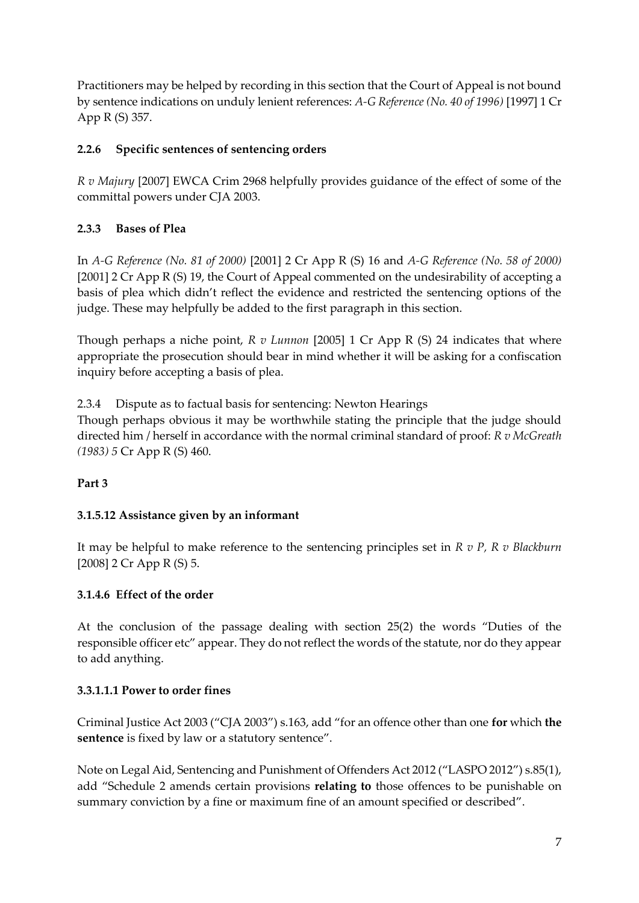Practitioners may be helped by recording in this section that the Court of Appeal is not bound by sentence indications on unduly lenient references: *A-G Reference (No. 40 of 1996)* [1997] 1 Cr App R (S) 357.

## **2.2.6 Specific sentences of sentencing orders**

*R v Majury* [2007] EWCA Crim 2968 helpfully provides guidance of the effect of some of the committal powers under CJA 2003.

# **2.3.3 Bases of Plea**

In *A-G Reference (No. 81 of 2000)* [2001] 2 Cr App R (S) 16 and *A-G Reference (No. 58 of 2000)* [2001] 2 Cr App R (S) 19, the Court of Appeal commented on the undesirability of accepting a basis of plea which didn't reflect the evidence and restricted the sentencing options of the judge. These may helpfully be added to the first paragraph in this section.

Though perhaps a niche point, *R v Lunnon* [2005] 1 Cr App R (S) 24 indicates that where appropriate the prosecution should bear in mind whether it will be asking for a confiscation inquiry before accepting a basis of plea.

2.3.4 Dispute as to factual basis for sentencing: Newton Hearings

Though perhaps obvious it may be worthwhile stating the principle that the judge should directed him / herself in accordance with the normal criminal standard of proof: *R v McGreath (1983) 5* Cr App R (S) 460.

# **Part 3**

# **3.1.5.12 Assistance given by an informant**

It may be helpful to make reference to the sentencing principles set in *R v P, R v Blackburn* [2008] 2 Cr App R (S) 5.

## **3.1.4.6 Effect of the order**

At the conclusion of the passage dealing with section 25(2) the words "Duties of the responsible officer etc" appear. They do not reflect the words of the statute, nor do they appear to add anything.

## **3.3.1.1.1 Power to order fines**

Criminal Justice Act 2003 ("CJA 2003") s.163, add "for an offence other than one **for** which **the**  sentence is fixed by law or a statutory sentence".

Note on Legal Aid, Sentencing and Punishment of Offenders Act 2012 ("LASPO 2012") s.85(1), add "Schedule 2 amends certain provisions **relating to** those offences to be punishable on summary conviction by a fine or maximum fine of an amount specified or described".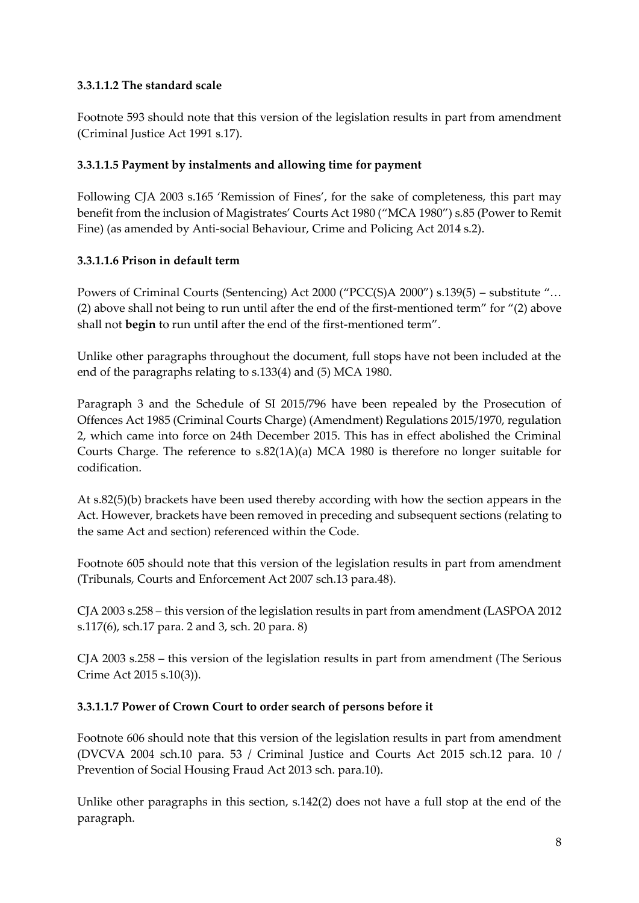## **3.3.1.1.2 The standard scale**

Footnote 593 should note that this version of the legislation results in part from amendment (Criminal Justice Act 1991 s.17).

## **3.3.1.1.5 Payment by instalments and allowing time for payment**

Following CJA 2003 s.165 'Remission of Fines', for the sake of completeness, this part may benefit from the inclusion of Magistrates' Courts Act 1980 ("MCA 1980") s.85 (Power to Remit Fine) (as amended by Anti-social Behaviour, Crime and Policing Act 2014 s.2).

### **3.3.1.1.6 Prison in default term**

Powers of Criminal Courts (Sentencing) Act 2000 ("PCC(S)A 2000") s.139(5) – substitute "… (2) above shall not being to run until after the end of the first-mentioned term" for "(2) above shall not **begin** to run until after the end of the first-mentioned term".

Unlike other paragraphs throughout the document, full stops have not been included at the end of the paragraphs relating to s.133(4) and (5) MCA 1980.

Paragraph 3 and the Schedule of SI 2015/796 have been repealed by the Prosecution of Offences Act 1985 (Criminal Courts Charge) (Amendment) Regulations 2015/1970, regulation 2, which came into force on 24th December 2015. This has in effect abolished the Criminal Courts Charge. The reference to s.82(1A)(a) MCA 1980 is therefore no longer suitable for codification.

At s.82(5)(b) brackets have been used thereby according with how the section appears in the Act. However, brackets have been removed in preceding and subsequent sections (relating to the same Act and section) referenced within the Code.

Footnote 605 should note that this version of the legislation results in part from amendment (Tribunals, Courts and Enforcement Act 2007 sch.13 para.48).

CJA 2003 s.258 – this version of the legislation results in part from amendment (LASPOA 2012 s.117(6), sch.17 para. 2 and 3, sch. 20 para. 8)

CJA 2003 s.258 – this version of the legislation results in part from amendment (The Serious Crime Act 2015 s.10(3)).

## **3.3.1.1.7 Power of Crown Court to order search of persons before it**

Footnote 606 should note that this version of the legislation results in part from amendment (DVCVA 2004 sch.10 para. 53 / Criminal Justice and Courts Act 2015 sch.12 para. 10 / Prevention of Social Housing Fraud Act 2013 sch. para.10).

Unlike other paragraphs in this section, s.142(2) does not have a full stop at the end of the paragraph.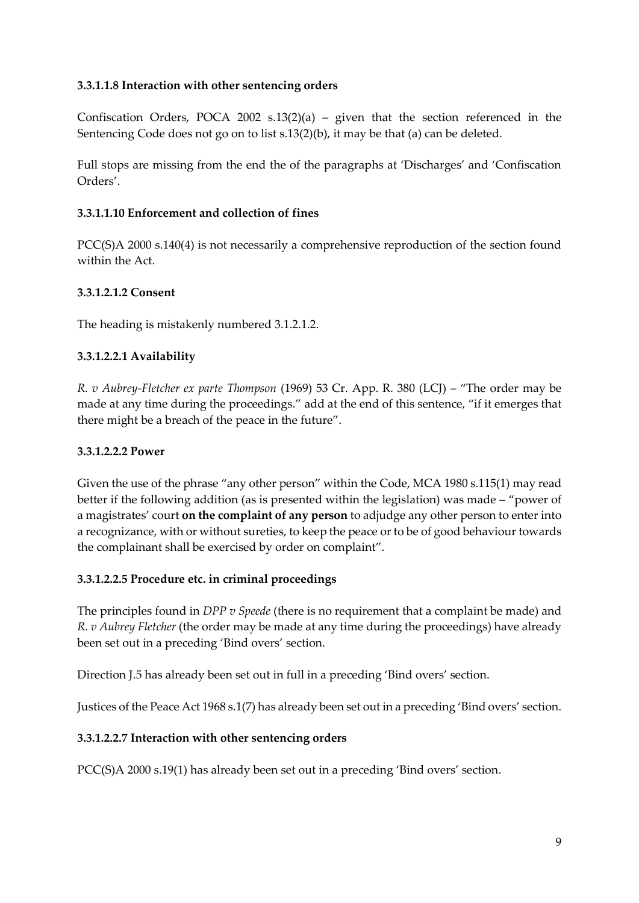### **3.3.1.1.8 Interaction with other sentencing orders**

Confiscation Orders, POCA 2002 s.13(2)(a) – given that the section referenced in the Sentencing Code does not go on to list s.13(2)(b), it may be that (a) can be deleted.

Full stops are missing from the end the of the paragraphs at 'Discharges' and 'Confiscation Orders'.

#### **3.3.1.1.10 Enforcement and collection of fines**

PCC(S)A 2000 s.140(4) is not necessarily a comprehensive reproduction of the section found within the Act.

#### **3.3.1.2.1.2 Consent**

The heading is mistakenly numbered 3.1.2.1.2.

#### **3.3.1.2.2.1 Availability**

*R. v Aubrey-Fletcher ex parte Thompson* (1969) 53 Cr. App. R. 380 (LCJ) – "The order may be made at any time during the proceedings." add at the end of this sentence, "if it emerges that there might be a breach of the peace in the future".

#### **3.3.1.2.2.2 Power**

Given the use of the phrase "any other person" within the Code, MCA 1980 s.115(1) may read better if the following addition (as is presented within the legislation) was made – "power of a magistrates' court **on the complaint of any person** to adjudge any other person to enter into a recognizance, with or without sureties, to keep the peace or to be of good behaviour towards the complainant shall be exercised by order on complaint".

#### **3.3.1.2.2.5 Procedure etc. in criminal proceedings**

The principles found in *DPP v Speede* (there is no requirement that a complaint be made) and *R. v Aubrey Fletcher* (the order may be made at any time during the proceedings) have already been set out in a preceding 'Bind overs' section.

Direction J.5 has already been set out in full in a preceding 'Bind overs' section.

Justices of the Peace Act 1968 s.1(7) has already been set out in a preceding 'Bind overs' section.

#### **3.3.1.2.2.7 Interaction with other sentencing orders**

PCC(S)A 2000 s.19(1) has already been set out in a preceding 'Bind overs' section.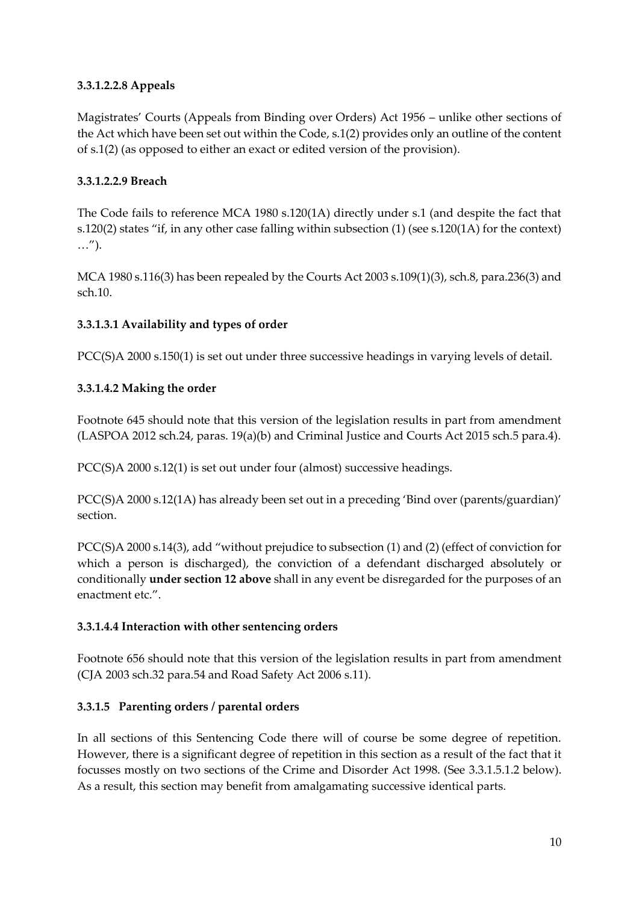## **3.3.1.2.2.8 Appeals**

Magistrates' Courts (Appeals from Binding over Orders) Act 1956 – unlike other sections of the Act which have been set out within the Code, s.1(2) provides only an outline of the content of s.1(2) (as opposed to either an exact or edited version of the provision).

### **3.3.1.2.2.9 Breach**

The Code fails to reference MCA 1980 s.120(1A) directly under s.1 (and despite the fact that s.120(2) states "if, in any other case falling within subsection (1) (see s.120(1A) for the context) …").

MCA 1980 s.116(3) has been repealed by the Courts Act 2003 s.109(1)(3), sch.8, para.236(3) and sch.10.

### **3.3.1.3.1 Availability and types of order**

PCC(S)A 2000 s.150(1) is set out under three successive headings in varying levels of detail.

### **3.3.1.4.2 Making the order**

Footnote 645 should note that this version of the legislation results in part from amendment (LASPOA 2012 sch.24, paras. 19(a)(b) and Criminal Justice and Courts Act 2015 sch.5 para.4).

PCC(S)A 2000 s.12(1) is set out under four (almost) successive headings.

PCC(S)A 2000 s.12(1A) has already been set out in a preceding 'Bind over (parents/guardian)' section.

PCC(S)A 2000 s.14(3), add "without prejudice to subsection (1) and (2) (effect of conviction for which a person is discharged), the conviction of a defendant discharged absolutely or conditionally **under section 12 above** shall in any event be disregarded for the purposes of an enactment etc."

## **3.3.1.4.4 Interaction with other sentencing orders**

Footnote 656 should note that this version of the legislation results in part from amendment (CJA 2003 sch.32 para.54 and Road Safety Act 2006 s.11).

## **3.3.1.5 Parenting orders / parental orders**

In all sections of this Sentencing Code there will of course be some degree of repetition. However, there is a significant degree of repetition in this section as a result of the fact that it focusses mostly on two sections of the Crime and Disorder Act 1998. (See 3.3.1.5.1.2 below). As a result, this section may benefit from amalgamating successive identical parts.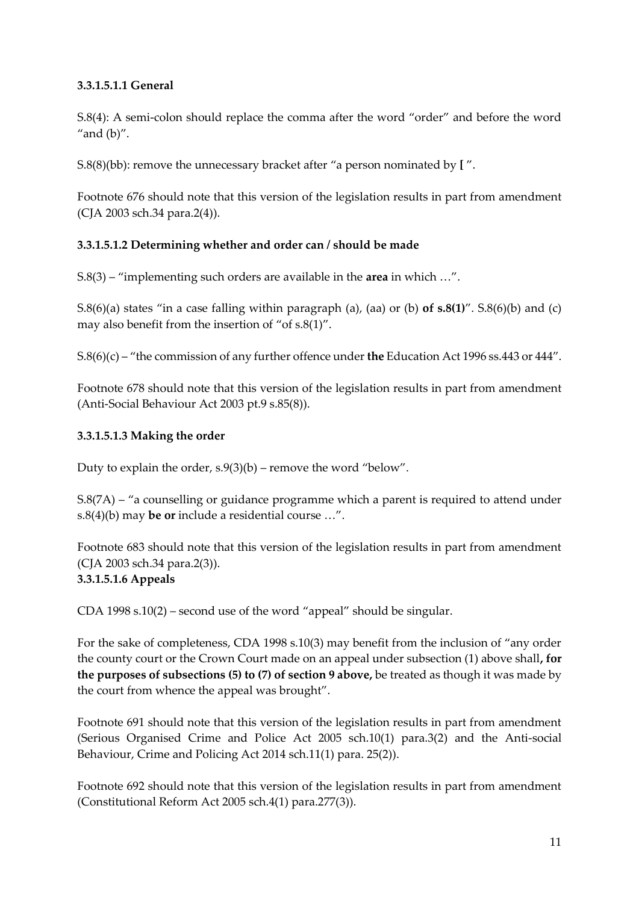### **3.3.1.5.1.1 General**

S.8(4): A semi-colon should replace the comma after the word "order" and before the word "and  $(b)$ ".

S.8(8)(bb): remove the unnecessary bracket after "a person nominated by **[** ".

Footnote 676 should note that this version of the legislation results in part from amendment (CJA 2003 sch.34 para.2(4)).

### **3.3.1.5.1.2 Determining whether and order can / should be made**

S.8(3) – "implementing such orders are available in the **area** in which …".

S.8(6)(a) states "in a case falling within paragraph (a), (aa) or (b) **of s.8(1)**". S.8(6)(b) and (c) may also benefit from the insertion of "of s.8(1)".

S.8(6)(c) – "the commission of any further offence under **the** Education Act 1996 ss.443 or 444".

Footnote 678 should note that this version of the legislation results in part from amendment (Anti-Social Behaviour Act 2003 pt.9 s.85(8)).

### **3.3.1.5.1.3 Making the order**

Duty to explain the order,  $s.9(3)(b)$  – remove the word "below".

S.8(7A) – "a counselling or guidance programme which a parent is required to attend under s.8(4)(b) may **be or** include a residential course …".

Footnote 683 should note that this version of the legislation results in part from amendment (CJA 2003 sch.34 para.2(3)).

## **3.3.1.5.1.6 Appeals**

CDA 1998 s.10(2) – second use of the word "appeal" should be singular.

For the sake of completeness, CDA 1998 s.10(3) may benefit from the inclusion of "any order the county court or the Crown Court made on an appeal under subsection (1) above shall**, for the purposes of subsections (5) to (7) of section 9 above,** be treated as though it was made by the court from whence the appeal was brought".

Footnote 691 should note that this version of the legislation results in part from amendment (Serious Organised Crime and Police Act 2005 sch.10(1) para.3(2) and the Anti-social Behaviour, Crime and Policing Act 2014 sch.11(1) para. 25(2)).

Footnote 692 should note that this version of the legislation results in part from amendment (Constitutional Reform Act 2005 sch.4(1) para.277(3)).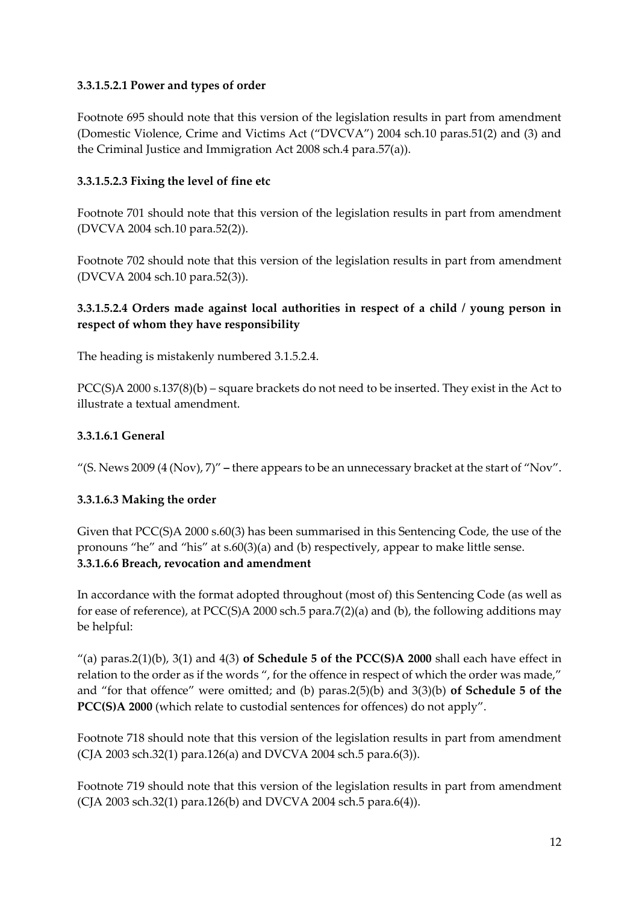### **3.3.1.5.2.1 Power and types of order**

Footnote 695 should note that this version of the legislation results in part from amendment (Domestic Violence, Crime and Victims Act ("DVCVA") 2004 sch.10 paras.51(2) and (3) and the Criminal Justice and Immigration Act 2008 sch.4 para.57(a)).

### **3.3.1.5.2.3 Fixing the level of fine etc**

Footnote 701 should note that this version of the legislation results in part from amendment (DVCVA 2004 sch.10 para.52(2)).

Footnote 702 should note that this version of the legislation results in part from amendment (DVCVA 2004 sch.10 para.52(3)).

### **3.3.1.5.2.4 Orders made against local authorities in respect of a child / young person in respect of whom they have responsibility**

The heading is mistakenly numbered 3.1.5.2.4.

PCC(S)A 2000 s.137(8)(b) – square brackets do not need to be inserted. They exist in the Act to illustrate a textual amendment.

### **3.3.1.6.1 General**

"(S. News 2009 (4 (Nov), 7)" **–** there appears to be an unnecessary bracket at the start of "Nov".

### **3.3.1.6.3 Making the order**

Given that PCC(S)A 2000 s.60(3) has been summarised in this Sentencing Code, the use of the pronouns "he" and "his" at s.60(3)(a) and (b) respectively, appear to make little sense. **3.3.1.6.6 Breach, revocation and amendment**

In accordance with the format adopted throughout (most of) this Sentencing Code (as well as for ease of reference), at PCC(S)A 2000 sch.5 para.7(2)(a) and (b), the following additions may be helpful:

"(a) paras.2(1)(b), 3(1) and 4(3) **of Schedule 5 of the PCC(S)A 2000** shall each have effect in relation to the order as if the words ", for the offence in respect of which the order was made," and "for that offence" were omitted; and (b) paras.2(5)(b) and 3(3)(b) **of Schedule 5 of the PCC(S)A 2000** (which relate to custodial sentences for offences) do not apply".

Footnote 718 should note that this version of the legislation results in part from amendment (CJA 2003 sch.32(1) para.126(a) and DVCVA 2004 sch.5 para.6(3)).

Footnote 719 should note that this version of the legislation results in part from amendment (CJA 2003 sch.32(1) para.126(b) and DVCVA 2004 sch.5 para.6(4)).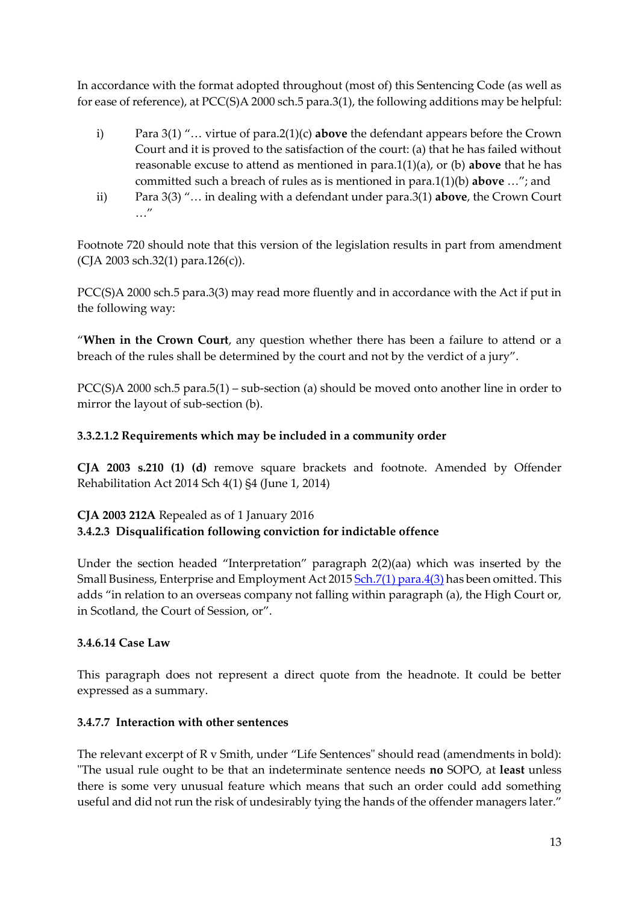In accordance with the format adopted throughout (most of) this Sentencing Code (as well as for ease of reference), at PCC(S)A 2000 sch.5 para.3(1), the following additions may be helpful:

- i) Para 3(1) "… virtue of para.2(1)(c) **above** the defendant appears before the Crown Court and it is proved to the satisfaction of the court: (a) that he has failed without reasonable excuse to attend as mentioned in para.1(1)(a), or (b) **above** that he has committed such a breach of rules as is mentioned in para.1(1)(b) **above** …"; and
- ii) Para 3(3) "… in dealing with a defendant under para.3(1) **above**, the Crown Court …"

Footnote 720 should note that this version of the legislation results in part from amendment (CJA 2003 sch.32(1) para.126(c)).

PCC(S)A 2000 sch.5 para.3(3) may read more fluently and in accordance with the Act if put in the following way:

"**When in the Crown Court**, any question whether there has been a failure to attend or a breach of the rules shall be determined by the court and not by the verdict of a jury".

PCC(S)A 2000 sch.5 para.5(1) – sub-section (a) should be moved onto another line in order to mirror the layout of sub-section (b).

### **3.3.2.1.2 Requirements which may be included in a community order**

**CJA 2003 s.210 (1) (d)** remove square brackets and footnote. Amended by Offender Rehabilitation Act 2014 Sch 4(1) §4 (June 1, 2014)

## **CJA 2003 212A** Repealed as of 1 January 2016 **3.4.2.3 Disqualification following conviction for indictable offence**

Under the section headed "Interpretation" paragraph 2(2)(aa) which was inserted by the Small Business, Enterprise and Employment Act 201[5 Sch.7\(1\) para.4\(3\)](http://login.westlaw.co.uk/maf/wluk/app/document?src=doc&linktype=ref&context=28&crumb-action=replace&docguid=I59E975C0D61F11E49A87C7D677750C0B) has been omitted. This adds "in relation to an overseas company not falling within paragraph (a), the High Court or, in Scotland, the Court of Session, or".

### **3.4.6.14 Case Law**

This paragraph does not represent a direct quote from the headnote. It could be better expressed as a summary.

### **3.4.7.7 Interaction with other sentences**

The relevant excerpt of R v Smith, under "Life Sentences" should read (amendments in bold): "The usual rule ought to be that an indeterminate sentence needs **no** SOPO, at **least** unless there is some very unusual feature which means that such an order could add something useful and did not run the risk of undesirably tying the hands of the offender managers later."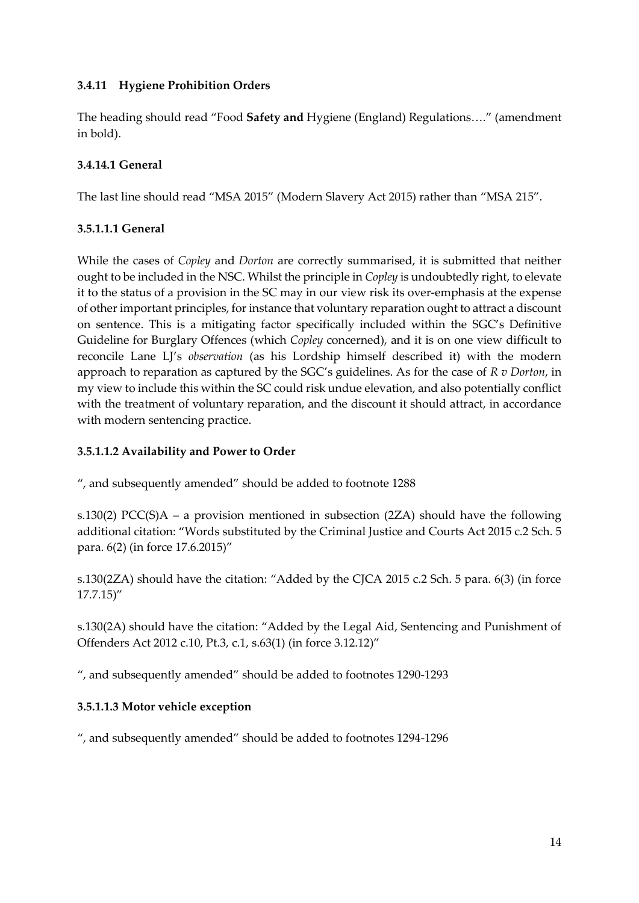## **3.4.11 Hygiene Prohibition Orders**

The heading should read "Food **Safety and** Hygiene (England) Regulations…." (amendment in bold).

### **3.4.14.1 General**

The last line should read "MSA 2015" (Modern Slavery Act 2015) rather than "MSA 215".

### **3.5.1.1.1 General**

While the cases of *Copley* and *Dorton* are correctly summarised, it is submitted that neither ought to be included in the NSC. Whilst the principle in *Copley* is undoubtedly right, to elevate it to the status of a provision in the SC may in our view risk its over-emphasis at the expense of other important principles, for instance that voluntary reparation ought to attract a discount on sentence. This is a mitigating factor specifically included within the SGC's Definitive Guideline for Burglary Offences (which *Copley* concerned), and it is on one view difficult to reconcile Lane LJ's *observation* (as his Lordship himself described it) with the modern approach to reparation as captured by the SGC's guidelines. As for the case of *R v Dorton*, in my view to include this within the SC could risk undue elevation, and also potentially conflict with the treatment of voluntary reparation, and the discount it should attract, in accordance with modern sentencing practice.

### **3.5.1.1.2 Availability and Power to Order**

", and subsequently amended" should be added to footnote 1288

s.130(2) PCC(S)A – a provision mentioned in subsection (2ZA) should have the following additional citation: "Words substituted by the Criminal Justice and Courts Act 2015 c.2 Sch. 5 para. 6(2) (in force 17.6.2015)"

s.130(2ZA) should have the citation: "Added by the CJCA 2015 c.2 Sch. 5 para. 6(3) (in force 17.7.15)"

s.130(2A) should have the citation: "Added by the Legal Aid, Sentencing and Punishment of Offenders Act 2012 c.10, Pt.3, c.1, s.63(1) (in force 3.12.12)"

", and subsequently amended" should be added to footnotes 1290-1293

### **3.5.1.1.3 Motor vehicle exception**

", and subsequently amended" should be added to footnotes 1294-1296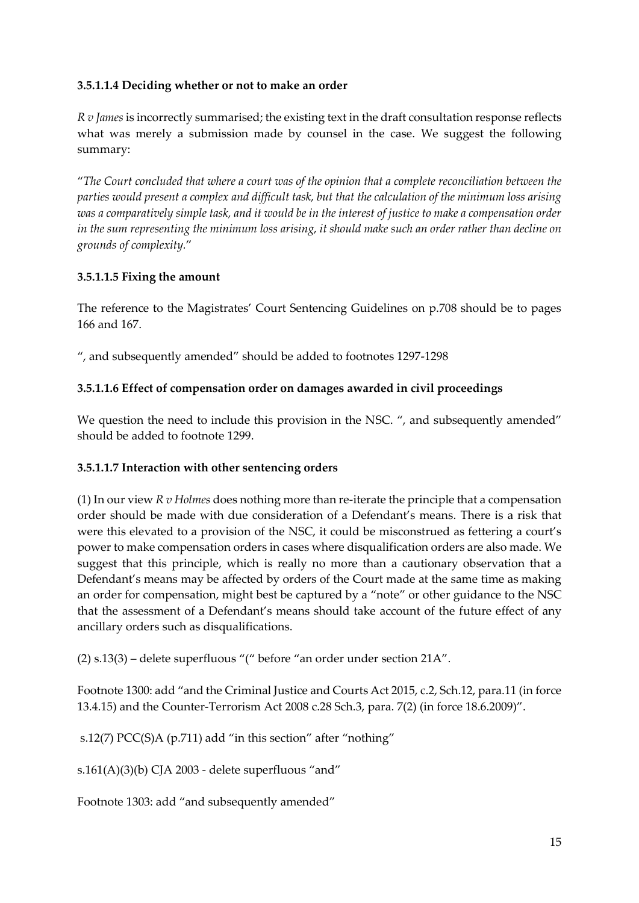### **3.5.1.1.4 Deciding whether or not to make an order**

*R v James* is incorrectly summarised; the existing text in the draft consultation response reflects what was merely a submission made by counsel in the case. We suggest the following summary:

"*The Court concluded that where a court was of the opinion that a complete reconciliation between the parties would present a complex and difficult task, but that the calculation of the minimum loss arising was a comparatively simple task, and it would be in the interest of justice to make a compensation order in the sum representing the minimum loss arising, it should make such an order rather than decline on grounds of complexity.*"

### **3.5.1.1.5 Fixing the amount**

The reference to the Magistrates' Court Sentencing Guidelines on p.708 should be to pages 166 and 167.

", and subsequently amended" should be added to footnotes 1297-1298

### **3.5.1.1.6 Effect of compensation order on damages awarded in civil proceedings**

We question the need to include this provision in the NSC. ", and subsequently amended" should be added to footnote 1299.

### **3.5.1.1.7 Interaction with other sentencing orders**

(1) In our view *R v Holmes* does nothing more than re-iterate the principle that a compensation order should be made with due consideration of a Defendant's means. There is a risk that were this elevated to a provision of the NSC, it could be misconstrued as fettering a court's power to make compensation orders in cases where disqualification orders are also made. We suggest that this principle, which is really no more than a cautionary observation that a Defendant's means may be affected by orders of the Court made at the same time as making an order for compensation, might best be captured by a "note" or other guidance to the NSC that the assessment of a Defendant's means should take account of the future effect of any ancillary orders such as disqualifications.

(2) s.13(3) – delete superfluous "(" before "an order under section 21A".

Footnote 1300: add "and the Criminal Justice and Courts Act 2015, c.2, Sch.12, para.11 (in force 13.4.15) and the Counter-Terrorism Act 2008 c.28 Sch.3, para. 7(2) (in force 18.6.2009)".

s.12(7) PCC(S)A (p.711) add "in this section" after "nothing"

s.161(A)(3)(b) CJA 2003 - delete superfluous "and"

Footnote 1303: add "and subsequently amended"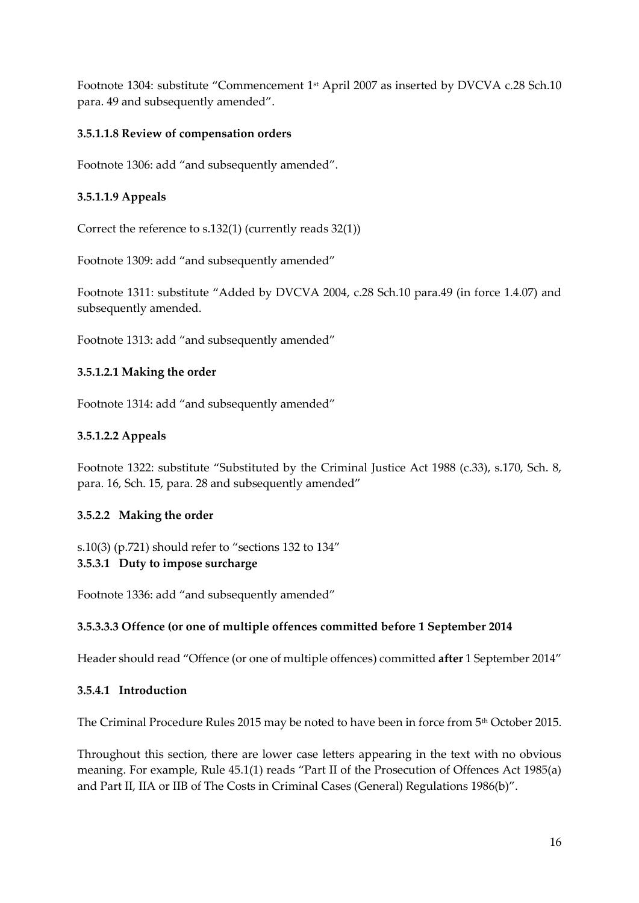Footnote 1304: substitute "Commencement 1st April 2007 as inserted by DVCVA c.28 Sch.10 para. 49 and subsequently amended".

### **3.5.1.1.8 Review of compensation orders**

Footnote 1306: add "and subsequently amended".

### **3.5.1.1.9 Appeals**

Correct the reference to s.132(1) (currently reads 32(1))

Footnote 1309: add "and subsequently amended"

Footnote 1311: substitute "Added by DVCVA 2004, c.28 Sch.10 para.49 (in force 1.4.07) and subsequently amended.

Footnote 1313: add "and subsequently amended"

### **3.5.1.2.1 Making the order**

Footnote 1314: add "and subsequently amended"

### **3.5.1.2.2 Appeals**

Footnote 1322: substitute "Substituted by the Criminal Justice Act 1988 (c.33), s.170, Sch. 8, para. 16, Sch. 15, para. 28 and subsequently amended"

### **3.5.2.2 Making the order**

s.10(3) (p.721) should refer to "sections 132 to 134" **3.5.3.1 Duty to impose surcharge**

Footnote 1336: add "and subsequently amended"

### **3.5.3.3.3 Offence (or one of multiple offences committed before 1 September 2014**

Header should read "Offence (or one of multiple offences) committed **after** 1 September 2014"

### **3.5.4.1 Introduction**

The Criminal Procedure Rules 2015 may be noted to have been in force from 5<sup>th</sup> October 2015.

Throughout this section, there are lower case letters appearing in the text with no obvious meaning. For example, Rule 45.1(1) reads "Part II of the Prosecution of Offences Act 1985(a) and Part II, IIA or IIB of The Costs in Criminal Cases (General) Regulations 1986(b)".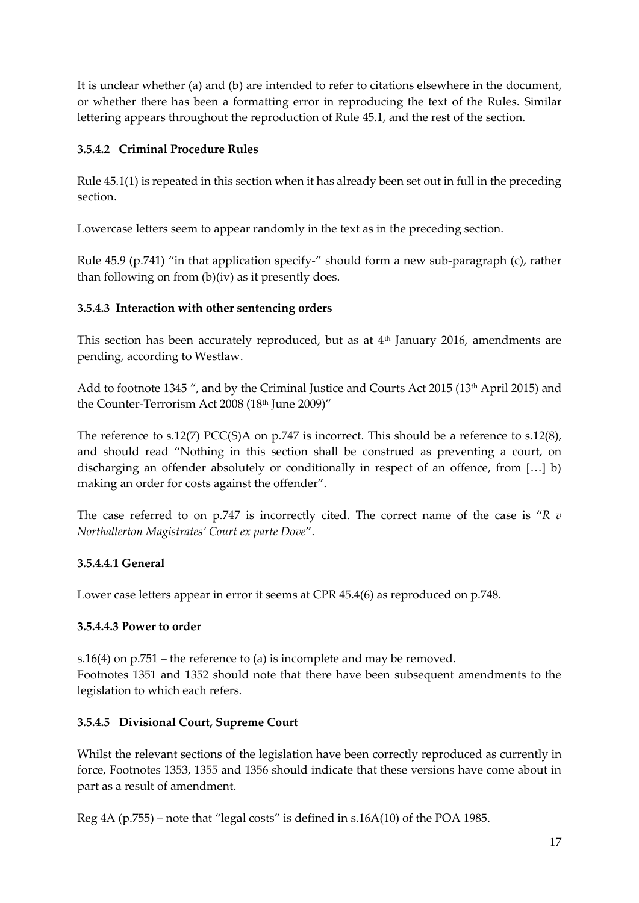It is unclear whether (a) and (b) are intended to refer to citations elsewhere in the document, or whether there has been a formatting error in reproducing the text of the Rules. Similar lettering appears throughout the reproduction of Rule 45.1, and the rest of the section.

### **3.5.4.2 Criminal Procedure Rules**

Rule 45.1(1) is repeated in this section when it has already been set out in full in the preceding section.

Lowercase letters seem to appear randomly in the text as in the preceding section.

Rule 45.9 (p.741) "in that application specify-" should form a new sub-paragraph (c), rather than following on from (b)(iv) as it presently does.

### **3.5.4.3 Interaction with other sentencing orders**

This section has been accurately reproduced, but as at 4<sup>th</sup> January 2016, amendments are pending, according to Westlaw.

Add to footnote 1345 ", and by the Criminal Justice and Courts Act 2015 (13<sup>th</sup> April 2015) and the Counter-Terrorism Act 2008 (18th June 2009)"

The reference to s.12(7) PCC(S)A on p.747 is incorrect. This should be a reference to s.12(8), and should read "Nothing in this section shall be construed as preventing a court, on discharging an offender absolutely or conditionally in respect of an offence, from [...] b) making an order for costs against the offender".

The case referred to on p.747 is incorrectly cited. The correct name of the case is "*R v Northallerton Magistrates' Court ex parte Dove*".

### **3.5.4.4.1 General**

Lower case letters appear in error it seems at CPR 45.4(6) as reproduced on p.748.

### **3.5.4.4.3 Power to order**

s.16(4) on p.751 – the reference to (a) is incomplete and may be removed. Footnotes 1351 and 1352 should note that there have been subsequent amendments to the legislation to which each refers.

### **3.5.4.5 Divisional Court, Supreme Court**

Whilst the relevant sections of the legislation have been correctly reproduced as currently in force, Footnotes 1353, 1355 and 1356 should indicate that these versions have come about in part as a result of amendment.

Reg 4A (p.755) – note that "legal costs" is defined in s.16A(10) of the POA 1985.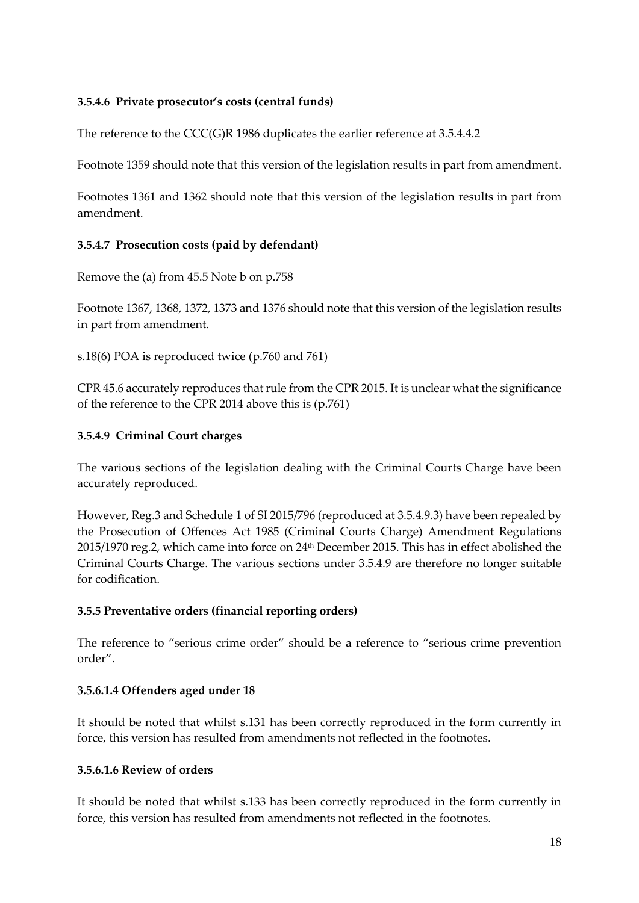#### **3.5.4.6 Private prosecutor's costs (central funds)**

The reference to the CCC(G)R 1986 duplicates the earlier reference at 3.5.4.4.2

Footnote 1359 should note that this version of the legislation results in part from amendment.

Footnotes 1361 and 1362 should note that this version of the legislation results in part from amendment.

#### **3.5.4.7 Prosecution costs (paid by defendant)**

Remove the (a) from 45.5 Note b on p.758

Footnote 1367, 1368, 1372, 1373 and 1376 should note that this version of the legislation results in part from amendment.

s.18(6) POA is reproduced twice (p.760 and 761)

CPR 45.6 accurately reproduces that rule from the CPR 2015. It is unclear what the significance of the reference to the CPR 2014 above this is (p.761)

#### **3.5.4.9 Criminal Court charges**

The various sections of the legislation dealing with the Criminal Courts Charge have been accurately reproduced.

However, Reg.3 and Schedule 1 of SI 2015/796 (reproduced at 3.5.4.9.3) have been repealed by the Prosecution of Offences Act 1985 (Criminal Courts Charge) Amendment Regulations 2015/1970 reg.2, which came into force on 24th December 2015. This has in effect abolished the Criminal Courts Charge. The various sections under 3.5.4.9 are therefore no longer suitable for codification.

#### **3.5.5 Preventative orders (financial reporting orders)**

The reference to "serious crime order" should be a reference to "serious crime prevention order".

### **3.5.6.1.4 Offenders aged under 18**

It should be noted that whilst s.131 has been correctly reproduced in the form currently in force, this version has resulted from amendments not reflected in the footnotes.

#### **3.5.6.1.6 Review of orders**

It should be noted that whilst s.133 has been correctly reproduced in the form currently in force, this version has resulted from amendments not reflected in the footnotes.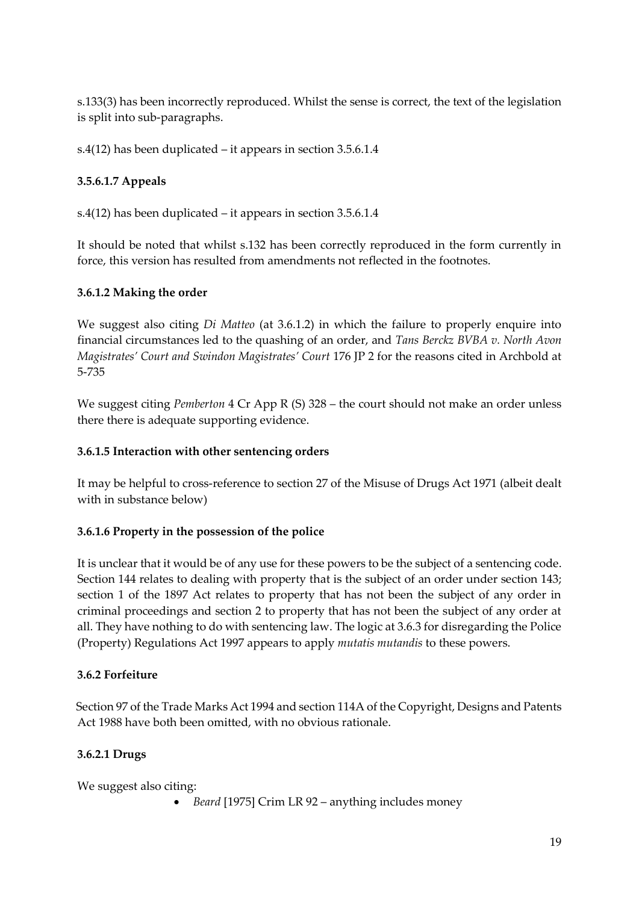s.133(3) has been incorrectly reproduced. Whilst the sense is correct, the text of the legislation is split into sub-paragraphs.

s.4(12) has been duplicated – it appears in section 3.5.6.1.4

## **3.5.6.1.7 Appeals**

s.4(12) has been duplicated – it appears in section 3.5.6.1.4

It should be noted that whilst s.132 has been correctly reproduced in the form currently in force, this version has resulted from amendments not reflected in the footnotes.

#### **3.6.1.2 Making the order**

We suggest also citing *Di Matteo* (at 3.6.1.2) in which the failure to properly enquire into financial circumstances led to the quashing of an order, and *Tans Berckz BVBA v. North Avon Magistrates' Court and Swindon Magistrates' Court* 176 JP 2 for the reasons cited in Archbold at 5-735

We suggest citing *Pemberton* 4 Cr App R (S) 328 – the court should not make an order unless there there is adequate supporting evidence.

#### **3.6.1.5 Interaction with other sentencing orders**

It may be helpful to cross-reference to section 27 of the Misuse of Drugs Act 1971 (albeit dealt with in substance below)

### **3.6.1.6 Property in the possession of the police**

It is unclear that it would be of any use for these powers to be the subject of a sentencing code. Section 144 relates to dealing with property that is the subject of an order under section 143; section 1 of the 1897 Act relates to property that has not been the subject of any order in criminal proceedings and section 2 to property that has not been the subject of any order at all. They have nothing to do with sentencing law. The logic at 3.6.3 for disregarding the Police (Property) Regulations Act 1997 appears to apply *mutatis mutandis* to these powers.

### **3.6.2 Forfeiture**

Section 97 of the Trade Marks Act 1994 and section 114A of the Copyright, Designs and Patents Act 1988 have both been omitted, with no obvious rationale.

### **3.6.2.1 Drugs**

We suggest also citing:

*Beard* [1975] Crim LR 92 – anything includes money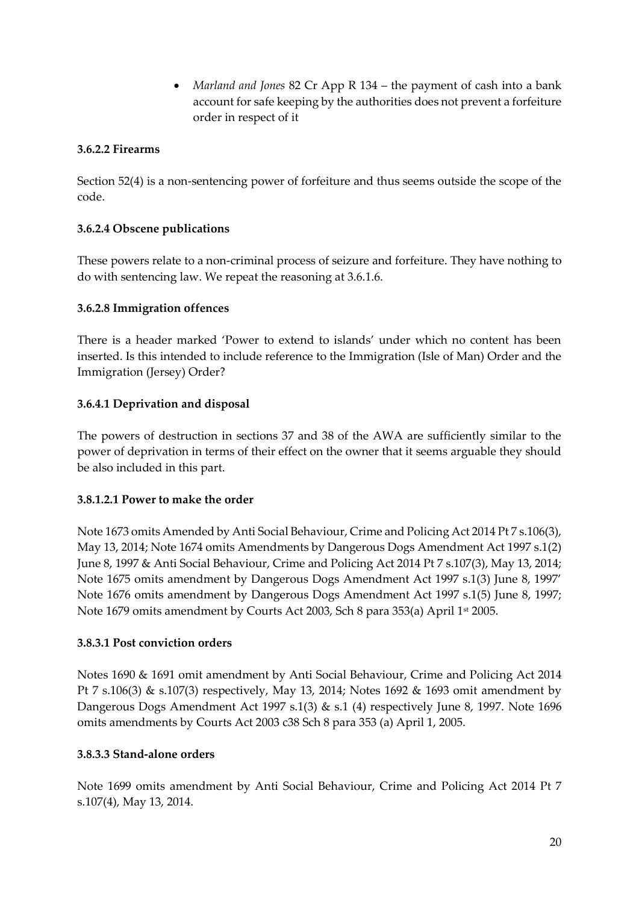*Marland and Jones* 82 Cr App R 134 – the payment of cash into a bank account for safe keeping by the authorities does not prevent a forfeiture order in respect of it

#### **3.6.2.2 Firearms**

Section 52(4) is a non-sentencing power of forfeiture and thus seems outside the scope of the code.

#### **3.6.2.4 Obscene publications**

These powers relate to a non-criminal process of seizure and forfeiture. They have nothing to do with sentencing law. We repeat the reasoning at 3.6.1.6.

#### **3.6.2.8 Immigration offences**

There is a header marked 'Power to extend to islands' under which no content has been inserted. Is this intended to include reference to the Immigration (Isle of Man) Order and the Immigration (Jersey) Order?

#### **3.6.4.1 Deprivation and disposal**

The powers of destruction in sections 37 and 38 of the AWA are sufficiently similar to the power of deprivation in terms of their effect on the owner that it seems arguable they should be also included in this part.

#### **3.8.1.2.1 Power to make the order**

Note 1673 omits Amended by Anti Social Behaviour, Crime and Policing Act 2014 Pt 7 s.106(3), May 13, 2014; Note 1674 omits Amendments by Dangerous Dogs Amendment Act 1997 s.1(2) June 8, 1997 & Anti Social Behaviour, Crime and Policing Act 2014 Pt 7 s.107(3), May 13, 2014; Note 1675 omits amendment by Dangerous Dogs Amendment Act 1997 s.1(3) June 8, 1997' Note 1676 omits amendment by Dangerous Dogs Amendment Act 1997 s.1(5) June 8, 1997; Note 1679 omits amendment by Courts Act 2003, Sch 8 para 353(a) April 1st 2005.

#### **3.8.3.1 Post conviction orders**

Notes 1690 & 1691 omit amendment by Anti Social Behaviour, Crime and Policing Act 2014 Pt 7 s.106(3) & s.107(3) respectively, May 13, 2014; Notes 1692 & 1693 omit amendment by Dangerous Dogs Amendment Act 1997 s.1(3) & s.1 (4) respectively June 8, 1997. Note 1696 omits amendments by Courts Act 2003 c38 Sch 8 para 353 (a) April 1, 2005.

#### **3.8.3.3 Stand-alone orders**

Note 1699 omits amendment by Anti Social Behaviour, Crime and Policing Act 2014 Pt 7 s.107(4), May 13, 2014.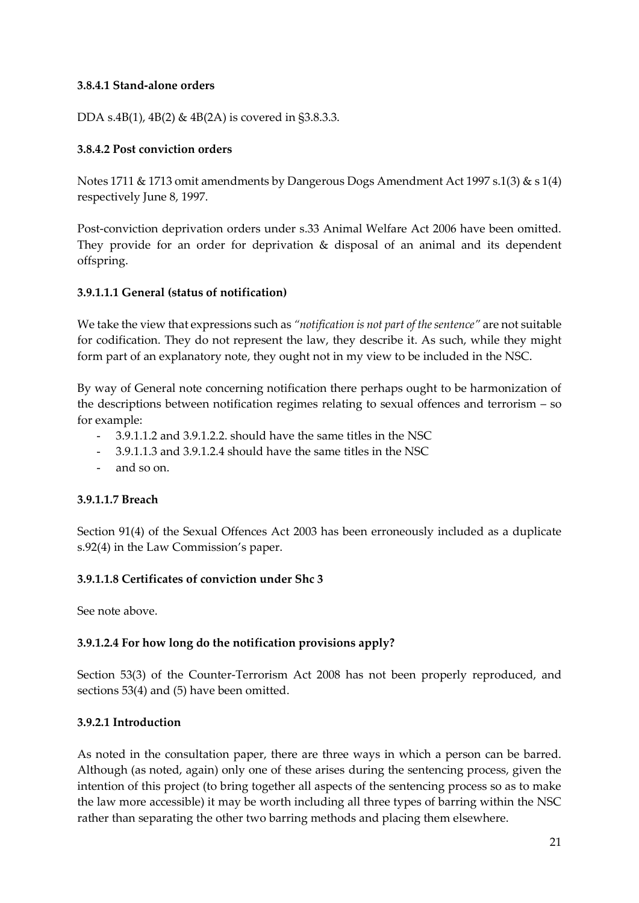#### **3.8.4.1 Stand-alone orders**

DDA s.4B(1), 4B(2) & 4B(2A) is covered in §3.8.3.3.

#### **3.8.4.2 Post conviction orders**

Notes 1711 & 1713 omit amendments by Dangerous Dogs Amendment Act 1997 s.1(3) & s 1(4) respectively June 8, 1997.

Post-conviction deprivation orders under s.33 Animal Welfare Act 2006 have been omitted. They provide for an order for deprivation & disposal of an animal and its dependent offspring.

#### **3.9.1.1.1 General (status of notification)**

We take the view that expressions such as *"notification is not part of the sentence"* are not suitable for codification. They do not represent the law, they describe it. As such, while they might form part of an explanatory note, they ought not in my view to be included in the NSC.

By way of General note concerning notification there perhaps ought to be harmonization of the descriptions between notification regimes relating to sexual offences and terrorism – so for example:

- 3.9.1.1.2 and 3.9.1.2.2. should have the same titles in the NSC
- 3.9.1.1.3 and 3.9.1.2.4 should have the same titles in the NSC
- and so on.

#### **3.9.1.1.7 Breach**

Section 91(4) of the Sexual Offences Act 2003 has been erroneously included as a duplicate s.92(4) in the Law Commission's paper.

#### **3.9.1.1.8 Certificates of conviction under Shc 3**

See note above.

#### **3.9.1.2.4 For how long do the notification provisions apply?**

Section 53(3) of the Counter-Terrorism Act 2008 has not been properly reproduced, and sections 53(4) and (5) have been omitted.

#### **3.9.2.1 Introduction**

As noted in the consultation paper, there are three ways in which a person can be barred. Although (as noted, again) only one of these arises during the sentencing process, given the intention of this project (to bring together all aspects of the sentencing process so as to make the law more accessible) it may be worth including all three types of barring within the NSC rather than separating the other two barring methods and placing them elsewhere.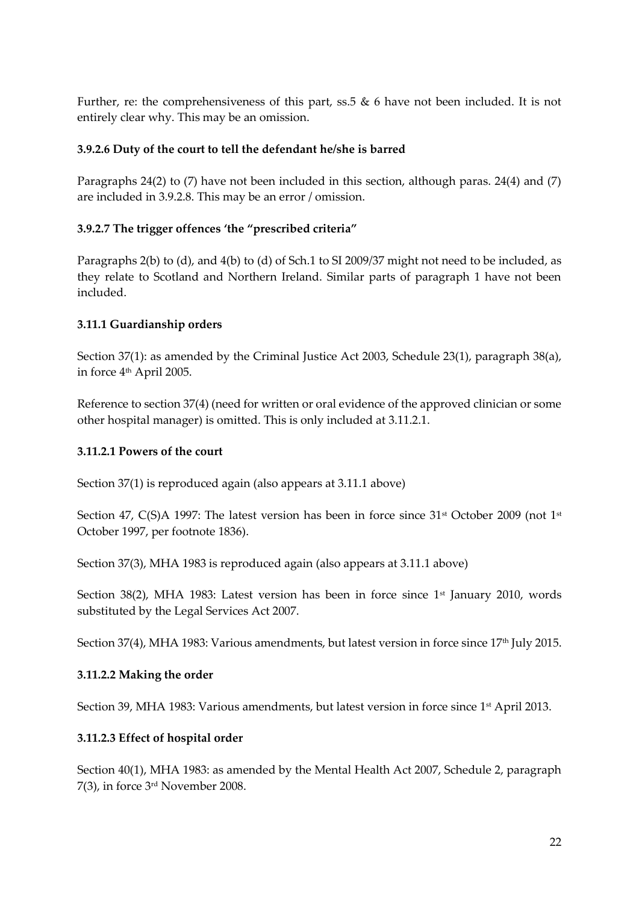Further, re: the comprehensiveness of this part, ss.5 & 6 have not been included. It is not entirely clear why. This may be an omission.

#### **3.9.2.6 Duty of the court to tell the defendant he/she is barred**

Paragraphs 24(2) to (7) have not been included in this section, although paras. 24(4) and (7) are included in 3.9.2.8. This may be an error / omission.

#### **3.9.2.7 The trigger offences 'the "prescribed criteria"**

Paragraphs 2(b) to (d), and 4(b) to (d) of Sch.1 to SI 2009/37 might not need to be included, as they relate to Scotland and Northern Ireland. Similar parts of paragraph 1 have not been included.

#### **3.11.1 Guardianship orders**

Section 37(1): as amended by the Criminal Justice Act 2003, Schedule 23(1), paragraph 38(a), in force 4<sup>th</sup> April 2005.

Reference to section 37(4) (need for written or oral evidence of the approved clinician or some other hospital manager) is omitted. This is only included at 3.11.2.1.

#### **3.11.2.1 Powers of the court**

Section 37(1) is reproduced again (also appears at 3.11.1 above)

Section 47, C(S)A 1997: The latest version has been in force since  $31<sup>st</sup>$  October 2009 (not  $1<sup>st</sup>$ October 1997, per footnote 1836).

Section 37(3), MHA 1983 is reproduced again (also appears at 3.11.1 above)

Section 38(2), MHA 1983: Latest version has been in force since 1<sup>st</sup> January 2010, words substituted by the Legal Services Act 2007.

Section 37(4), MHA 1983: Various amendments, but latest version in force since 17<sup>th</sup> July 2015.

### **3.11.2.2 Making the order**

Section 39, MHA 1983: Various amendments, but latest version in force since 1<sup>st</sup> April 2013.

### **3.11.2.3 Effect of hospital order**

Section 40(1), MHA 1983: as amended by the Mental Health Act 2007, Schedule 2, paragraph 7(3), in force 3rd November 2008.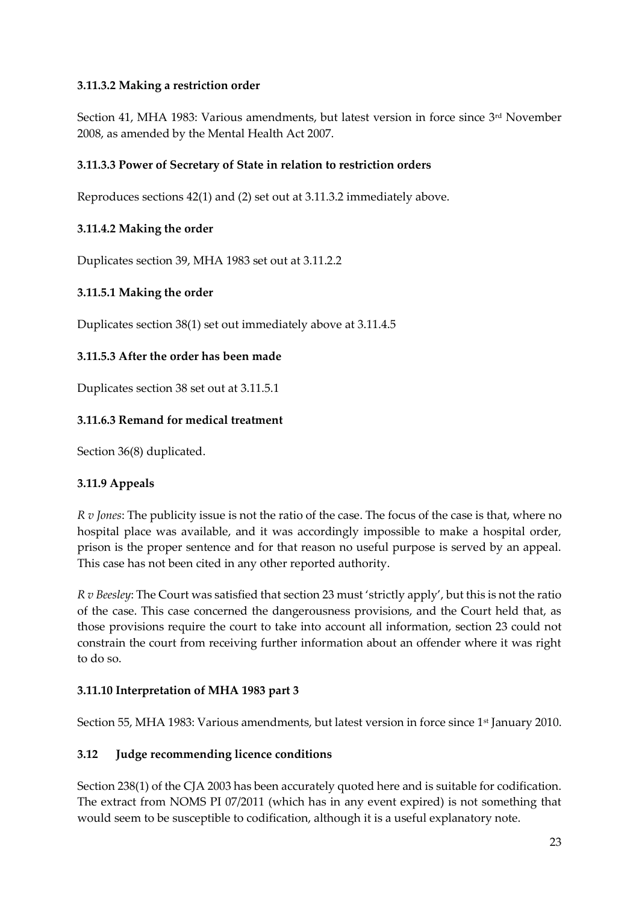### **3.11.3.2 Making a restriction order**

Section 41, MHA 1983: Various amendments, but latest version in force since 3<sup>rd</sup> November 2008, as amended by the Mental Health Act 2007.

### **3.11.3.3 Power of Secretary of State in relation to restriction orders**

Reproduces sections 42(1) and (2) set out at 3.11.3.2 immediately above.

### **3.11.4.2 Making the order**

Duplicates section 39, MHA 1983 set out at 3.11.2.2

### **3.11.5.1 Making the order**

Duplicates section 38(1) set out immediately above at 3.11.4.5

### **3.11.5.3 After the order has been made**

Duplicates section 38 set out at 3.11.5.1

### **3.11.6.3 Remand for medical treatment**

Section 36(8) duplicated.

### **3.11.9 Appeals**

*R v Jones*: The publicity issue is not the ratio of the case. The focus of the case is that, where no hospital place was available, and it was accordingly impossible to make a hospital order, prison is the proper sentence and for that reason no useful purpose is served by an appeal. This case has not been cited in any other reported authority.

*R v Beesley*: The Court was satisfied that section 23 must 'strictly apply', but this is not the ratio of the case. This case concerned the dangerousness provisions, and the Court held that, as those provisions require the court to take into account all information, section 23 could not constrain the court from receiving further information about an offender where it was right to do so.

### **3.11.10 Interpretation of MHA 1983 part 3**

Section 55, MHA 1983: Various amendments, but latest version in force since 1<sup>st</sup> January 2010.

### **3.12 Judge recommending licence conditions**

Section 238(1) of the CJA 2003 has been accurately quoted here and is suitable for codification. The extract from NOMS PI 07/2011 (which has in any event expired) is not something that would seem to be susceptible to codification, although it is a useful explanatory note.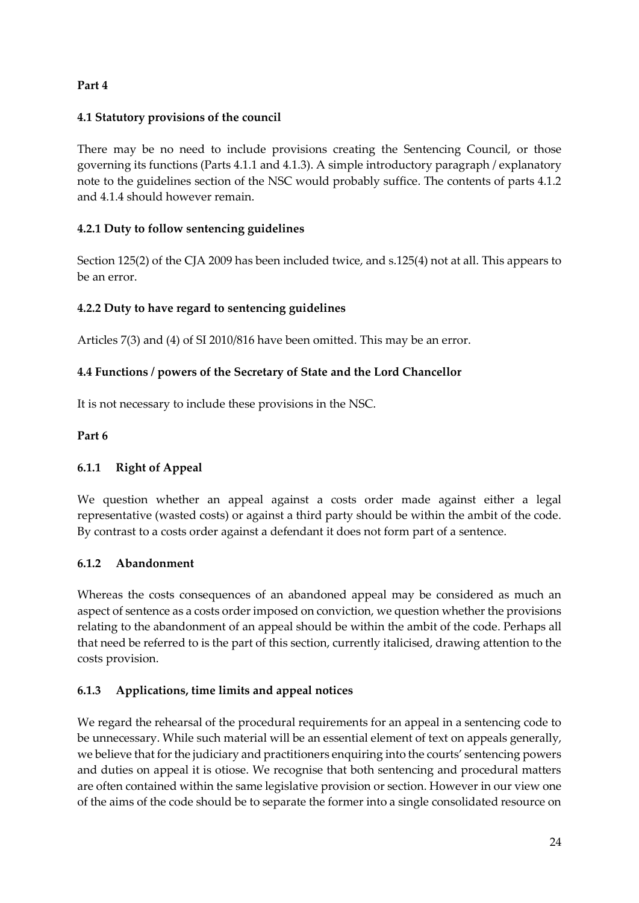## **Part 4**

### **4.1 Statutory provisions of the council**

There may be no need to include provisions creating the Sentencing Council, or those governing its functions (Parts 4.1.1 and 4.1.3). A simple introductory paragraph / explanatory note to the guidelines section of the NSC would probably suffice. The contents of parts 4.1.2 and 4.1.4 should however remain.

### **4.2.1 Duty to follow sentencing guidelines**

Section 125(2) of the CJA 2009 has been included twice, and s.125(4) not at all. This appears to be an error.

### **4.2.2 Duty to have regard to sentencing guidelines**

Articles 7(3) and (4) of SI 2010/816 have been omitted. This may be an error.

### **4.4 Functions / powers of the Secretary of State and the Lord Chancellor**

It is not necessary to include these provisions in the NSC.

### **Part 6**

### **6.1.1 Right of Appeal**

We question whether an appeal against a costs order made against either a legal representative (wasted costs) or against a third party should be within the ambit of the code. By contrast to a costs order against a defendant it does not form part of a sentence.

### **6.1.2 Abandonment**

Whereas the costs consequences of an abandoned appeal may be considered as much an aspect of sentence as a costs order imposed on conviction, we question whether the provisions relating to the abandonment of an appeal should be within the ambit of the code. Perhaps all that need be referred to is the part of this section, currently italicised, drawing attention to the costs provision.

### **6.1.3 Applications, time limits and appeal notices**

We regard the rehearsal of the procedural requirements for an appeal in a sentencing code to be unnecessary. While such material will be an essential element of text on appeals generally, we believe that for the judiciary and practitioners enquiring into the courts' sentencing powers and duties on appeal it is otiose. We recognise that both sentencing and procedural matters are often contained within the same legislative provision or section. However in our view one of the aims of the code should be to separate the former into a single consolidated resource on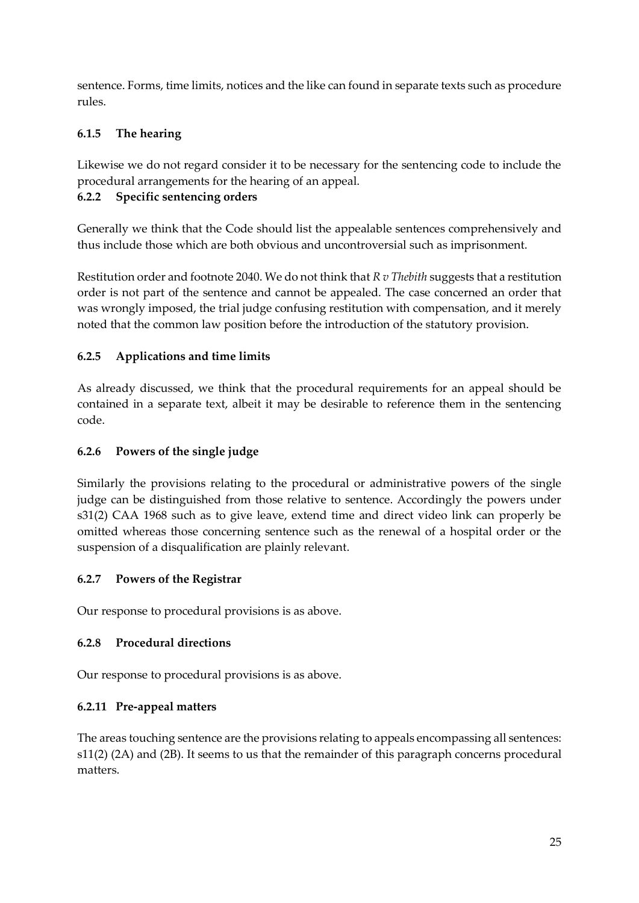sentence. Forms, time limits, notices and the like can found in separate texts such as procedure rules.

## **6.1.5 The hearing**

Likewise we do not regard consider it to be necessary for the sentencing code to include the procedural arrangements for the hearing of an appeal.

## **6.2.2 Specific sentencing orders**

Generally we think that the Code should list the appealable sentences comprehensively and thus include those which are both obvious and uncontroversial such as imprisonment.

Restitution order and footnote 2040. We do not think that *R v Thebith* suggests that a restitution order is not part of the sentence and cannot be appealed. The case concerned an order that was wrongly imposed, the trial judge confusing restitution with compensation, and it merely noted that the common law position before the introduction of the statutory provision.

## **6.2.5 Applications and time limits**

As already discussed, we think that the procedural requirements for an appeal should be contained in a separate text, albeit it may be desirable to reference them in the sentencing code.

## **6.2.6 Powers of the single judge**

Similarly the provisions relating to the procedural or administrative powers of the single judge can be distinguished from those relative to sentence. Accordingly the powers under s31(2) CAA 1968 such as to give leave, extend time and direct video link can properly be omitted whereas those concerning sentence such as the renewal of a hospital order or the suspension of a disqualification are plainly relevant.

### **6.2.7 Powers of the Registrar**

Our response to procedural provisions is as above.

## **6.2.8 Procedural directions**

Our response to procedural provisions is as above.

## **6.2.11 Pre-appeal matters**

The areas touching sentence are the provisions relating to appeals encompassing all sentences: s11(2) (2A) and (2B). It seems to us that the remainder of this paragraph concerns procedural matters.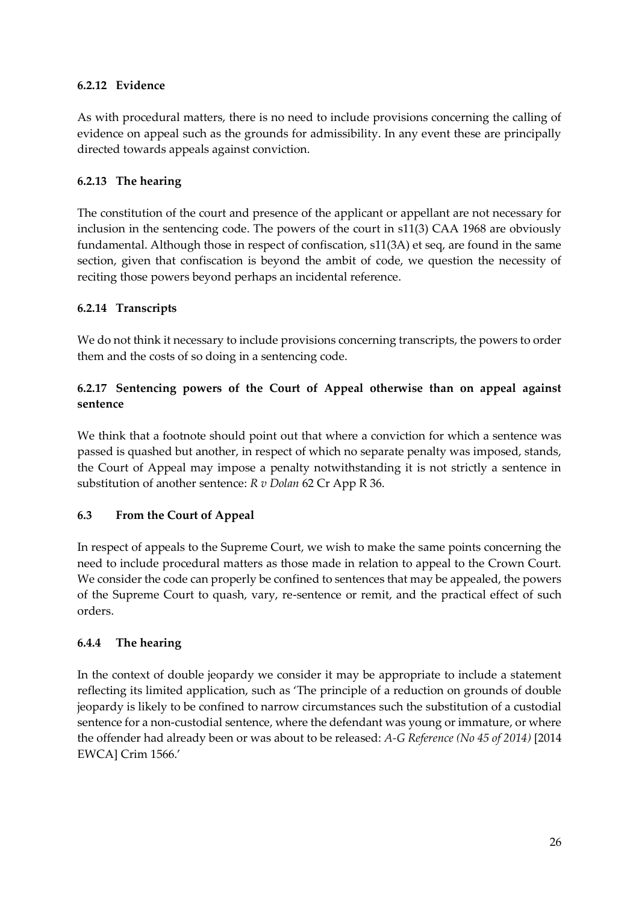### **6.2.12 Evidence**

As with procedural matters, there is no need to include provisions concerning the calling of evidence on appeal such as the grounds for admissibility. In any event these are principally directed towards appeals against conviction.

### **6.2.13 The hearing**

The constitution of the court and presence of the applicant or appellant are not necessary for inclusion in the sentencing code. The powers of the court in s11(3) CAA 1968 are obviously fundamental. Although those in respect of confiscation, s11(3A) et seq, are found in the same section, given that confiscation is beyond the ambit of code, we question the necessity of reciting those powers beyond perhaps an incidental reference.

### **6.2.14 Transcripts**

We do not think it necessary to include provisions concerning transcripts, the powers to order them and the costs of so doing in a sentencing code.

### **6.2.17 Sentencing powers of the Court of Appeal otherwise than on appeal against sentence**

We think that a footnote should point out that where a conviction for which a sentence was passed is quashed but another, in respect of which no separate penalty was imposed, stands, the Court of Appeal may impose a penalty notwithstanding it is not strictly a sentence in substitution of another sentence: *R v Dolan* 62 Cr App R 36.

## **6.3 From the Court of Appeal**

In respect of appeals to the Supreme Court, we wish to make the same points concerning the need to include procedural matters as those made in relation to appeal to the Crown Court. We consider the code can properly be confined to sentences that may be appealed, the powers of the Supreme Court to quash, vary, re-sentence or remit, and the practical effect of such orders.

### **6.4.4 The hearing**

In the context of double jeopardy we consider it may be appropriate to include a statement reflecting its limited application, such as 'The principle of a reduction on grounds of double jeopardy is likely to be confined to narrow circumstances such the substitution of a custodial sentence for a non-custodial sentence, where the defendant was young or immature, or where the offender had already been or was about to be released: *A-G Reference (No 45 of 2014)* [2014 EWCA] Crim 1566.'